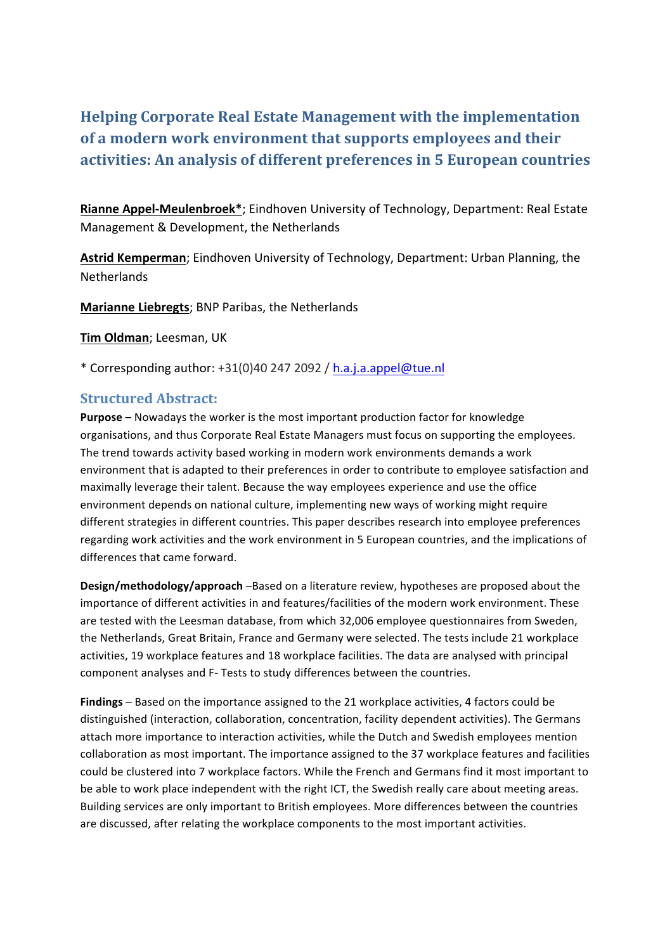# **Helping Corporate Real Estate Management with the implementation** of a modern work environment that supports employees and their **activities: An analysis of different preferences in 5 European countries**

Rianne Appel-Meulenbroek<sup>\*</sup>; Eindhoven University of Technology, Department: Real Estate Management & Development, the Netherlands

Astrid Kemperman; Eindhoven University of Technology, Department: Urban Planning, the **Netherlands** 

**Marianne Liebregts**; BNP Paribas, the Netherlands

**Tim Oldman; Leesman, UK** 

\* Corresponding author: +31(0)40 247 2092 / h.a.j.a.appel@tue.nl

## **Structured Abstract:**

**Purpose** – Nowadays the worker is the most important production factor for knowledge organisations, and thus Corporate Real Estate Managers must focus on supporting the employees. The trend towards activity based working in modern work environments demands a work environment that is adapted to their preferences in order to contribute to employee satisfaction and maximally leverage their talent. Because the way employees experience and use the office environment depends on national culture, implementing new ways of working might require different strategies in different countries. This paper describes research into employee preferences regarding work activities and the work environment in 5 European countries, and the implications of differences that came forward.

**Design/methodology/approach** –Based on a literature review, hypotheses are proposed about the importance of different activities in and features/facilities of the modern work environment. These are tested with the Leesman database, from which 32,006 employee questionnaires from Sweden, the Netherlands, Great Britain, France and Germany were selected. The tests include 21 workplace activities, 19 workplace features and 18 workplace facilities. The data are analysed with principal component analyses and F- Tests to study differences between the countries.

**Findings** – Based on the importance assigned to the 21 workplace activities, 4 factors could be distinguished (interaction, collaboration, concentration, facility dependent activities). The Germans attach more importance to interaction activities, while the Dutch and Swedish employees mention collaboration as most important. The importance assigned to the 37 workplace features and facilities could be clustered into 7 workplace factors. While the French and Germans find it most important to be able to work place independent with the right ICT, the Swedish really care about meeting areas. Building services are only important to British employees. More differences between the countries are discussed, after relating the workplace components to the most important activities.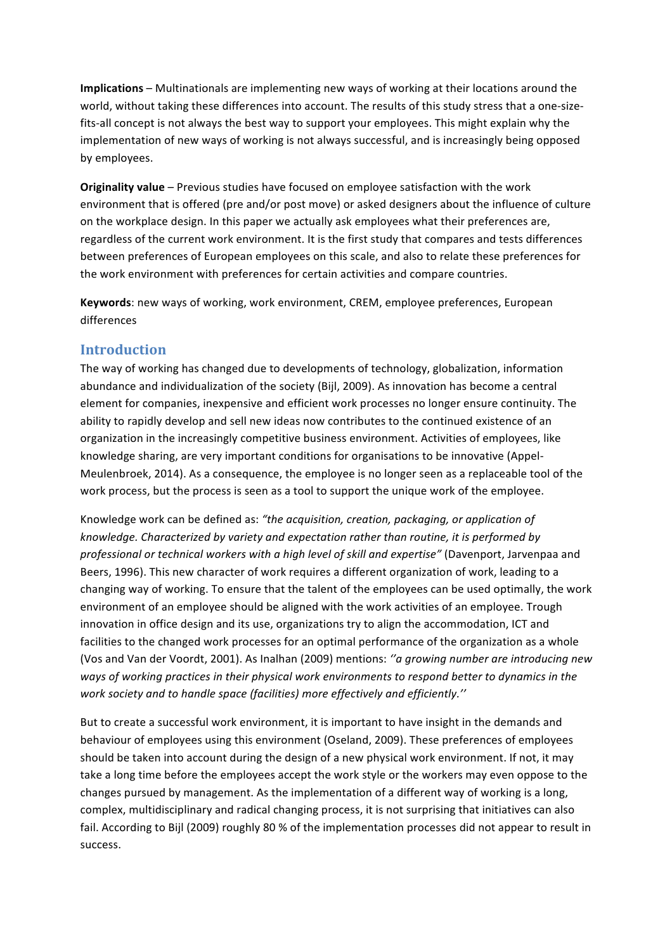**Implications** – Multinationals are implementing new ways of working at their locations around the world, without taking these differences into account. The results of this study stress that a one-sizefits-all concept is not always the best way to support your employees. This might explain why the implementation of new ways of working is not always successful, and is increasingly being opposed by employees.

**Originality value** – Previous studies have focused on employee satisfaction with the work environment that is offered (pre and/or post move) or asked designers about the influence of culture on the workplace design. In this paper we actually ask employees what their preferences are, regardless of the current work environment. It is the first study that compares and tests differences between preferences of European employees on this scale, and also to relate these preferences for the work environment with preferences for certain activities and compare countries.

**Keywords**: new ways of working, work environment, CREM, employee preferences, European differences

#### **Introduction**

The way of working has changed due to developments of technology, globalization, information abundance and individualization of the society (Bijl, 2009). As innovation has become a central element for companies, inexpensive and efficient work processes no longer ensure continuity. The ability to rapidly develop and sell new ideas now contributes to the continued existence of an organization in the increasingly competitive business environment. Activities of employees, like knowledge sharing, are very important conditions for organisations to be innovative (Appel-Meulenbroek, 2014). As a consequence, the employee is no longer seen as a replaceable tool of the work process, but the process is seen as a tool to support the unique work of the employee.

Knowledge work can be defined as: "the acquisition, creation, packaging, or application of knowledge. Characterized by variety and expectation rather than routine, it is performed by professional or technical workers with a high level of skill and expertise" (Davenport, Jarvenpaa and Beers, 1996). This new character of work requires a different organization of work, leading to a changing way of working. To ensure that the talent of the employees can be used optimally, the work environment of an employee should be aligned with the work activities of an employee. Trough innovation in office design and its use, organizations try to align the accommodation, ICT and facilities to the changed work processes for an optimal performance of the organization as a whole (Vos and Van der Voordt, 2001). As Inalhan (2009) mentions: "a growing number are introducing new ways of working practices in their physical work environments to respond better to dynamics in the work society and to handle space (facilities) more effectively and efficiently."

But to create a successful work environment, it is important to have insight in the demands and behaviour of employees using this environment (Oseland, 2009). These preferences of employees should be taken into account during the design of a new physical work environment. If not, it may take a long time before the employees accept the work style or the workers may even oppose to the changes pursued by management. As the implementation of a different way of working is a long, complex, multidisciplinary and radical changing process, it is not surprising that initiatives can also fail. According to Bijl (2009) roughly 80 % of the implementation processes did not appear to result in success.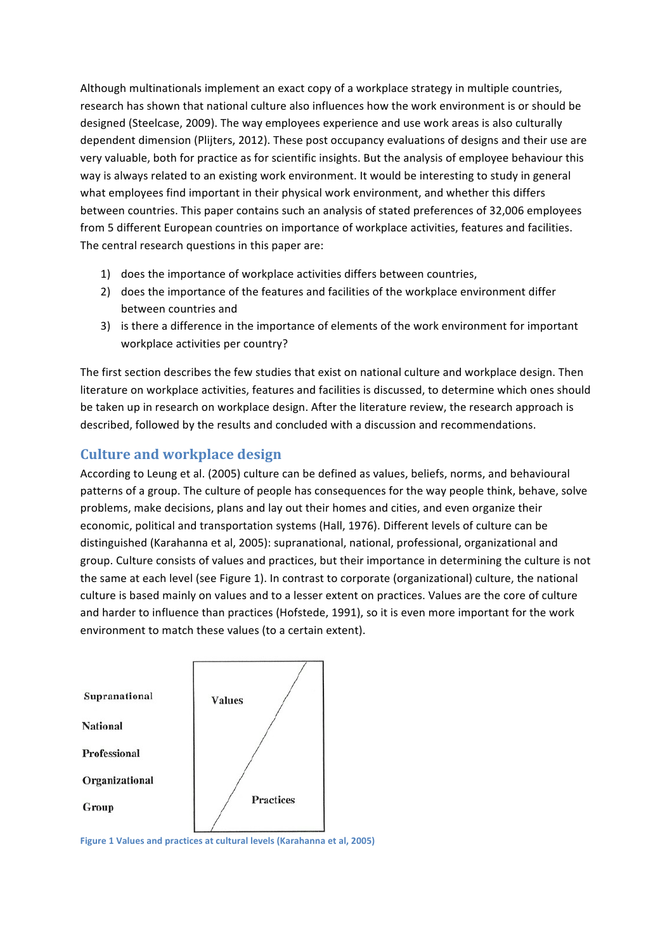Although multinationals implement an exact copy of a workplace strategy in multiple countries, research has shown that national culture also influences how the work environment is or should be designed (Steelcase, 2009). The way employees experience and use work areas is also culturally dependent dimension (Plijters, 2012). These post occupancy evaluations of designs and their use are very valuable, both for practice as for scientific insights. But the analysis of employee behaviour this way is always related to an existing work environment. It would be interesting to study in general what employees find important in their physical work environment, and whether this differs between countries. This paper contains such an analysis of stated preferences of 32,006 employees from 5 different European countries on importance of workplace activities, features and facilities. The central research questions in this paper are:

- 1) does the importance of workplace activities differs between countries,
- 2) does the importance of the features and facilities of the workplace environment differ between countries and
- 3) is there a difference in the importance of elements of the work environment for important workplace activities per country?

The first section describes the few studies that exist on national culture and workplace design. Then literature on workplace activities, features and facilities is discussed, to determine which ones should be taken up in research on workplace design. After the literature review, the research approach is described, followed by the results and concluded with a discussion and recommendations.

# **Culture and workplace design**

According to Leung et al. (2005) culture can be defined as values, beliefs, norms, and behavioural patterns of a group. The culture of people has consequences for the way people think, behave, solve problems, make decisions, plans and lay out their homes and cities, and even organize their economic, political and transportation systems (Hall, 1976). Different levels of culture can be distinguished (Karahanna et al, 2005): supranational, national, professional, organizational and group. Culture consists of values and practices, but their importance in determining the culture is not the same at each level (see Figure 1). In contrast to corporate (organizational) culture, the national culture is based mainly on values and to a lesser extent on practices. Values are the core of culture and harder to influence than practices (Hofstede, 1991), so it is even more important for the work environment to match these values (to a certain extent).



**Figure 1 Values and practices at cultural levels (Karahanna et al, 2005)**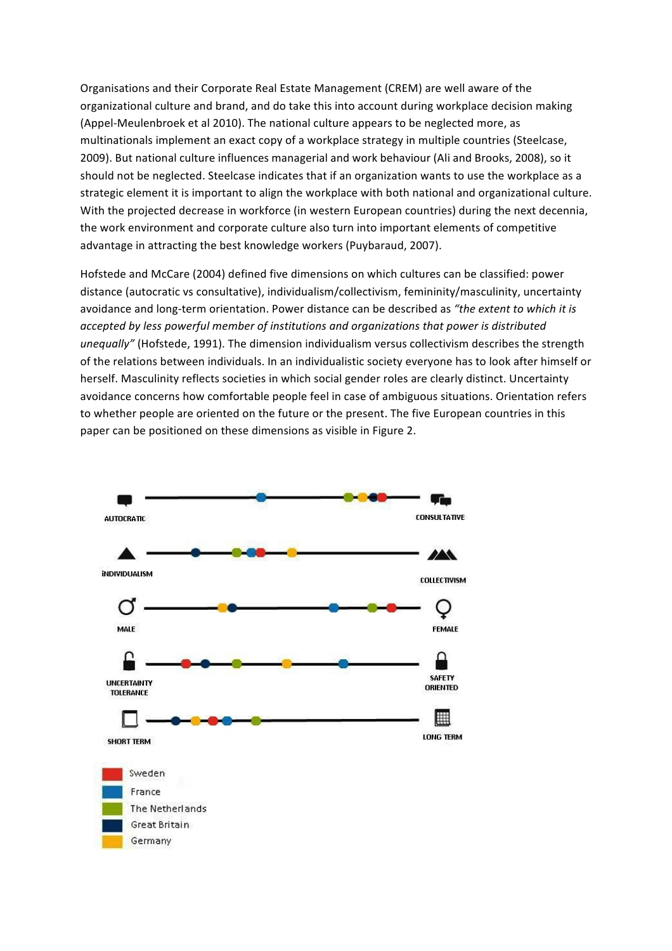Organisations and their Corporate Real Estate Management (CREM) are well aware of the organizational culture and brand, and do take this into account during workplace decision making (Appel-Meulenbroek et al 2010). The national culture appears to be neglected more, as multinationals implement an exact copy of a workplace strategy in multiple countries (Steelcase, 2009). But national culture influences managerial and work behaviour (Ali and Brooks, 2008), so it should not be neglected. Steelcase indicates that if an organization wants to use the workplace as a strategic element it is important to align the workplace with both national and organizational culture. With the projected decrease in workforce (in western European countries) during the next decennia, the work environment and corporate culture also turn into important elements of competitive advantage in attracting the best knowledge workers (Puybaraud, 2007).

Hofstede and McCare (2004) defined five dimensions on which cultures can be classified: power distance (autocratic vs consultative), individualism/collectivism, femininity/masculinity, uncertainty avoidance and long-term orientation. Power distance can be described as "the extent to which it is accepted by less powerful member of institutions and organizations that power is distributed unequally" (Hofstede, 1991). The dimension individualism versus collectivism describes the strength of the relations between individuals. In an individualistic society everyone has to look after himself or herself. Masculinity reflects societies in which social gender roles are clearly distinct. Uncertainty avoidance concerns how comfortable people feel in case of ambiguous situations. Orientation refers to whether people are oriented on the future or the present. The five European countries in this paper can be positioned on these dimensions as visible in Figure 2.

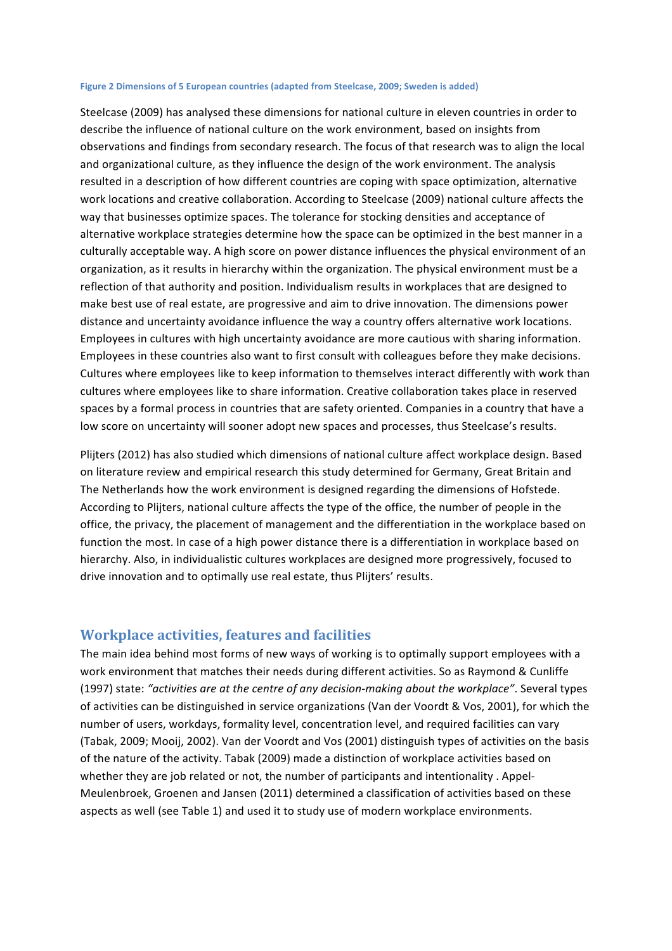#### Figure 2 Dimensions of 5 European countries (adapted from Steelcase, 2009; Sweden is added)

Steelcase (2009) has analysed these dimensions for national culture in eleven countries in order to describe the influence of national culture on the work environment, based on insights from observations and findings from secondary research. The focus of that research was to align the local and organizational culture, as they influence the design of the work environment. The analysis resulted in a description of how different countries are coping with space optimization, alternative work locations and creative collaboration. According to Steelcase (2009) national culture affects the way that businesses optimize spaces. The tolerance for stocking densities and acceptance of alternative workplace strategies determine how the space can be optimized in the best manner in a culturally acceptable way. A high score on power distance influences the physical environment of an organization, as it results in hierarchy within the organization. The physical environment must be a reflection of that authority and position. Individualism results in workplaces that are designed to make best use of real estate, are progressive and aim to drive innovation. The dimensions power distance and uncertainty avoidance influence the way a country offers alternative work locations. Employees in cultures with high uncertainty avoidance are more cautious with sharing information. Employees in these countries also want to first consult with colleagues before they make decisions. Cultures where employees like to keep information to themselves interact differently with work than cultures where employees like to share information. Creative collaboration takes place in reserved spaces by a formal process in countries that are safety oriented. Companies in a country that have a low score on uncertainty will sooner adopt new spaces and processes, thus Steelcase's results.

Plijters (2012) has also studied which dimensions of national culture affect workplace design. Based on literature review and empirical research this study determined for Germany, Great Britain and The Netherlands how the work environment is designed regarding the dimensions of Hofstede. According to Plijters, national culture affects the type of the office, the number of people in the office, the privacy, the placement of management and the differentiation in the workplace based on function the most. In case of a high power distance there is a differentiation in workplace based on hierarchy. Also, in individualistic cultures workplaces are designed more progressively, focused to drive innovation and to optimally use real estate, thus Plijters' results.

#### **Workplace activities, features and facilities**

The main idea behind most forms of new ways of working is to optimally support employees with a work environment that matches their needs during different activities. So as Raymond & Cunliffe (1997) state: "activities are at the centre of any decision-making about the workplace". Several types of activities can be distinguished in service organizations (Van der Voordt & Vos, 2001), for which the number of users, workdays, formality level, concentration level, and required facilities can vary (Tabak, 2009; Mooij, 2002). Van der Voordt and Vos (2001) distinguish types of activities on the basis of the nature of the activity. Tabak (2009) made a distinction of workplace activities based on whether they are job related or not, the number of participants and intentionality . Appel-Meulenbroek, Groenen and Jansen (2011) determined a classification of activities based on these aspects as well (see Table 1) and used it to study use of modern workplace environments.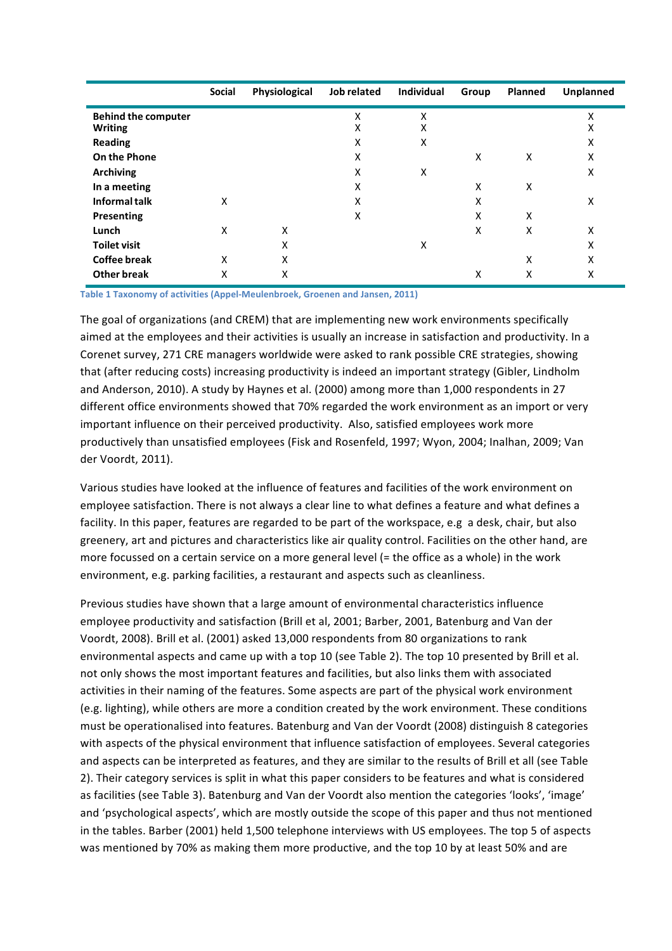|                            | <b>Social</b> | Physiological | Job related | <b>Individual</b> | Group | Planned | Unplanned |
|----------------------------|---------------|---------------|-------------|-------------------|-------|---------|-----------|
| <b>Behind the computer</b> |               |               | Χ           | Χ                 |       |         | x         |
| <b>Writing</b>             |               |               | X           | X                 |       |         | X         |
| <b>Reading</b>             |               |               | Χ           | X                 |       |         | х         |
| On the Phone               |               |               | X           |                   | X     | X       | X         |
| <b>Archiving</b>           |               |               | X           | X                 |       |         | X         |
| In a meeting               |               |               | Χ           |                   | X     | X       |           |
| <b>Informal talk</b>       | X             |               | X           |                   | x     |         | X         |
| Presenting                 |               |               | X           |                   | X     | X       |           |
| Lunch                      | X             | X             |             |                   | X     | X       | X         |
| <b>Toilet visit</b>        |               | X             |             | X                 |       |         | X         |
| <b>Coffee break</b>        | X             | X             |             |                   |       | X       | X         |
| <b>Other break</b>         | Χ             | X             |             |                   | x     | x       | X         |

**Table 1 Taxonomy of activities (Appel-Meulenbroek, Groenen and Jansen, 2011)** 

The goal of organizations (and CREM) that are implementing new work environments specifically aimed at the employees and their activities is usually an increase in satisfaction and productivity. In a Corenet survey, 271 CRE managers worldwide were asked to rank possible CRE strategies, showing that (after reducing costs) increasing productivity is indeed an important strategy (Gibler, Lindholm and Anderson, 2010). A study by Haynes et al. (2000) among more than 1,000 respondents in 27 different office environments showed that 70% regarded the work environment as an import or very important influence on their perceived productivity. Also, satisfied employees work more productively than unsatisfied employees (Fisk and Rosenfeld, 1997; Wyon, 2004; Inalhan, 2009; Van der Voordt, 2011).

Various studies have looked at the influence of features and facilities of the work environment on employee satisfaction. There is not always a clear line to what defines a feature and what defines a facility. In this paper, features are regarded to be part of the workspace, e.g a desk, chair, but also greenery, art and pictures and characteristics like air quality control. Facilities on the other hand, are more focussed on a certain service on a more general level (= the office as a whole) in the work environment, e.g. parking facilities, a restaurant and aspects such as cleanliness.

Previous studies have shown that a large amount of environmental characteristics influence employee productivity and satisfaction (Brill et al, 2001; Barber, 2001, Batenburg and Van der Voordt, 2008). Brill et al. (2001) asked 13,000 respondents from 80 organizations to rank environmental aspects and came up with a top 10 (see Table 2). The top 10 presented by Brill et al. not only shows the most important features and facilities, but also links them with associated activities in their naming of the features. Some aspects are part of the physical work environment (e.g. lighting), while others are more a condition created by the work environment. These conditions must be operationalised into features. Batenburg and Van der Voordt (2008) distinguish 8 categories with aspects of the physical environment that influence satisfaction of employees. Several categories and aspects can be interpreted as features, and they are similar to the results of Brill et all (see Table 2). Their category services is split in what this paper considers to be features and what is considered as facilities (see Table 3). Batenburg and Van der Voordt also mention the categories 'looks', 'image' and 'psychological aspects', which are mostly outside the scope of this paper and thus not mentioned in the tables. Barber (2001) held 1,500 telephone interviews with US employees. The top 5 of aspects was mentioned by 70% as making them more productive, and the top 10 by at least 50% and are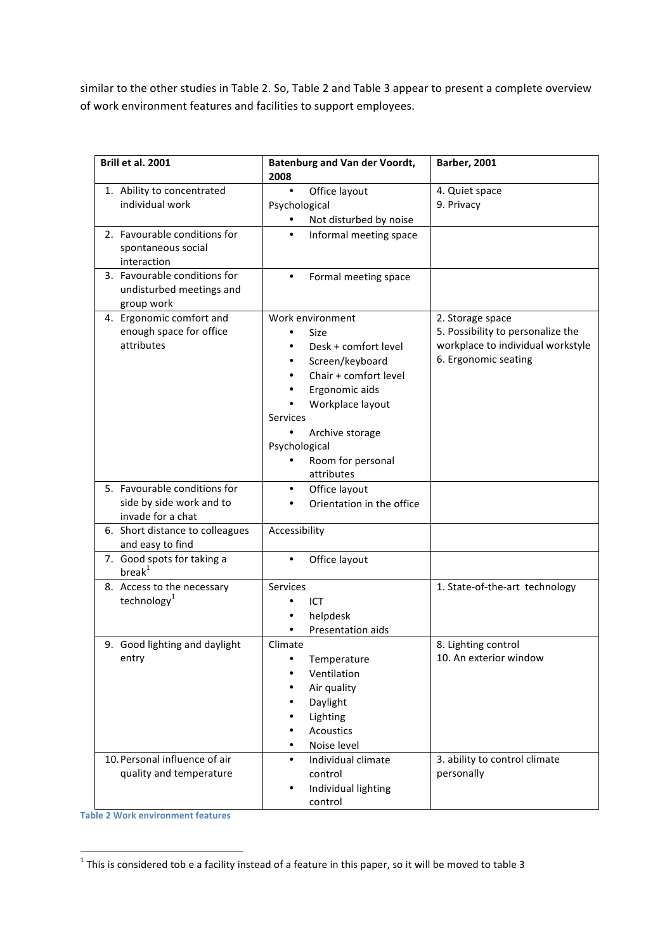similar to the other studies in Table 2. So, Table 2 and Table 3 appear to present a complete overview of work environment features and facilities to support employees.

| Brill et al. 2001                                                             | <b>Batenburg and Van der Voordt,</b><br>2008                                                                                                                                                                                                                      | <b>Barber, 2001</b>                                                                                                |
|-------------------------------------------------------------------------------|-------------------------------------------------------------------------------------------------------------------------------------------------------------------------------------------------------------------------------------------------------------------|--------------------------------------------------------------------------------------------------------------------|
| 1. Ability to concentrated<br>individual work                                 | $\bullet$<br>Office layout<br>Psychological<br>Not disturbed by noise                                                                                                                                                                                             | 4. Quiet space<br>9. Privacy                                                                                       |
| 2. Favourable conditions for<br>spontaneous social<br>interaction             | Informal meeting space<br>$\bullet$                                                                                                                                                                                                                               |                                                                                                                    |
| 3. Favourable conditions for<br>undisturbed meetings and<br>group work        | Formal meeting space<br>$\bullet$                                                                                                                                                                                                                                 |                                                                                                                    |
| 4. Ergonomic comfort and<br>enough space for office<br>attributes             | Work environment<br>Size<br>$\bullet$<br>Desk + comfort level<br>Screen/keyboard<br>$\bullet$<br>Chair + comfort level<br>Ergonomic aids<br>Workplace layout<br>Services<br>$\bullet$<br>Archive storage<br>Psychological<br>Room for personal<br>٠<br>attributes | 2. Storage space<br>5. Possibility to personalize the<br>workplace to individual workstyle<br>6. Ergonomic seating |
| 5. Favourable conditions for<br>side by side work and to<br>invade for a chat | Office layout<br>$\bullet$<br>Orientation in the office                                                                                                                                                                                                           |                                                                                                                    |
| 6. Short distance to colleagues<br>and easy to find                           | Accessibility                                                                                                                                                                                                                                                     |                                                                                                                    |
| 7. Good spots for taking a<br>break <sup>1</sup>                              | Office layout<br>$\bullet$                                                                                                                                                                                                                                        |                                                                                                                    |
| 8. Access to the necessary<br>technology <sup>1</sup>                         | <b>Services</b><br>ICT<br>helpdesk<br>Presentation aids                                                                                                                                                                                                           | 1. State-of-the-art technology                                                                                     |
| 9. Good lighting and daylight<br>entry                                        | Climate<br>Temperature<br>Ventilation<br>Air quality<br>Daylight<br>Lighting<br><b>Acoustics</b><br>Noise level                                                                                                                                                   | 8. Lighting control<br>10. An exterior window                                                                      |
| 10. Personal influence of air<br>quality and temperature                      | Individual climate<br>$\bullet$<br>control<br>Individual lighting<br>control                                                                                                                                                                                      | 3. ability to control climate<br>personally                                                                        |

**Table 2 Work environment features** 

<u> 1989 - Jan Samuel Barbara, margaret e</u>

 $^1$  This is considered tob e a facility instead of a feature in this paper, so it will be moved to table 3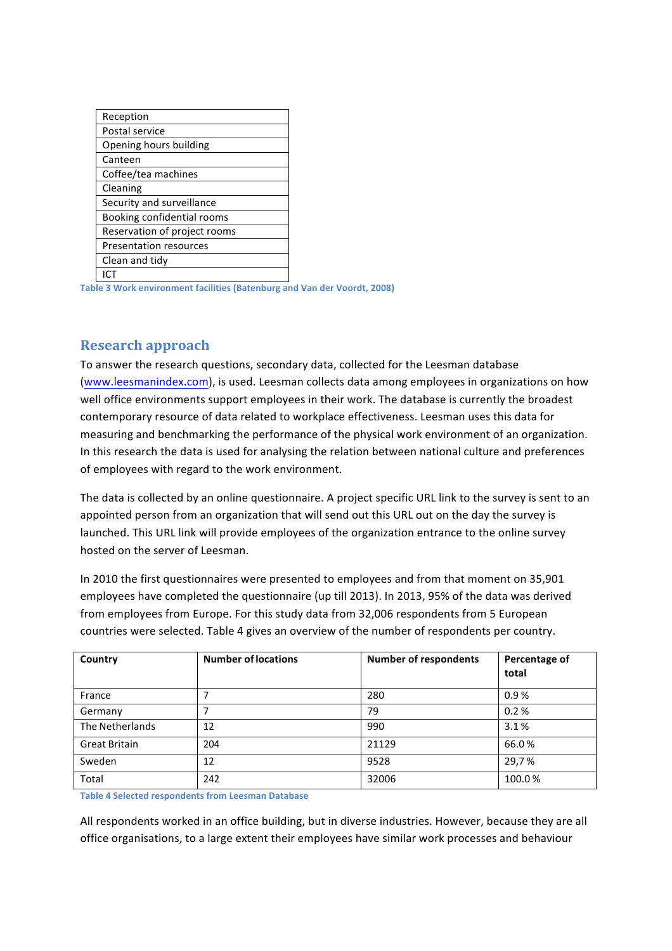| Reception                     |
|-------------------------------|
| Postal service                |
| Opening hours building        |
| Canteen                       |
| Coffee/tea machines           |
| Cleaning                      |
| Security and surveillance     |
| Booking confidential rooms    |
| Reservation of project rooms  |
| <b>Presentation resources</b> |
| Clean and tidy                |
|                               |

**Table 3 Work environment facilities (Batenburg and Van der Voordt, 2008)** 

#### **Research approach**

To answer the research questions, secondary data, collected for the Leesman database (www.leesmanindex.com), is used. Leesman collects data among employees in organizations on how well office environments support employees in their work. The database is currently the broadest contemporary resource of data related to workplace effectiveness. Leesman uses this data for measuring and benchmarking the performance of the physical work environment of an organization. In this research the data is used for analysing the relation between national culture and preferences of employees with regard to the work environment.

The data is collected by an online questionnaire. A project specific URL link to the survey is sent to an appointed person from an organization that will send out this URL out on the day the survey is launched. This URL link will provide employees of the organization entrance to the online survey hosted on the server of Leesman.

In 2010 the first questionnaires were presented to employees and from that moment on 35,901 employees have completed the questionnaire (up till 2013). In 2013, 95% of the data was derived from employees from Europe. For this study data from 32,006 respondents from 5 European countries were selected. Table 4 gives an overview of the number of respondents per country.

| Country              | <b>Number of locations</b> | <b>Number of respondents</b> | Percentage of<br>total |
|----------------------|----------------------------|------------------------------|------------------------|
| France               |                            | 280                          | 0.9%                   |
| Germany              |                            | 79                           | 0.2%                   |
| The Netherlands      | 12                         | 990                          | 3.1%                   |
| <b>Great Britain</b> | 204                        | 21129                        | 66.0%                  |
| Sweden               | 12                         | 9528                         | 29,7%                  |
| Total                | 242                        | 32006                        | 100.0%                 |

**Table 4 Selected respondents from Leesman Database** 

All respondents worked in an office building, but in diverse industries. However, because they are all office organisations, to a large extent their employees have similar work processes and behaviour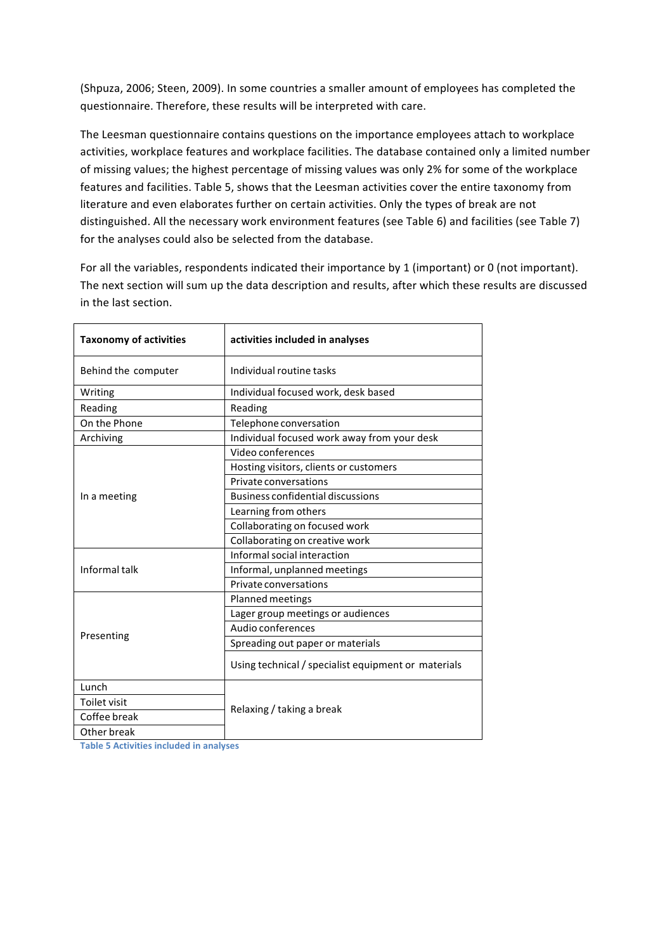(Shpuza, 2006; Steen, 2009). In some countries a smaller amount of employees has completed the questionnaire. Therefore, these results will be interpreted with care.

The Leesman questionnaire contains questions on the importance employees attach to workplace activities, workplace features and workplace facilities. The database contained only a limited number of missing values; the highest percentage of missing values was only 2% for some of the workplace features and facilities. Table 5, shows that the Leesman activities cover the entire taxonomy from literature and even elaborates further on certain activities. Only the types of break are not distinguished. All the necessary work environment features (see Table 6) and facilities (see Table 7) for the analyses could also be selected from the database.

For all the variables, respondents indicated their importance by 1 (important) or 0 (not important). The next section will sum up the data description and results, after which these results are discussed in the last section.

| <b>Taxonomy of activities</b> | activities included in analyses                     |  |  |  |  |
|-------------------------------|-----------------------------------------------------|--|--|--|--|
| Behind the computer           | Individual routine tasks                            |  |  |  |  |
| Writing                       | Individual focused work, desk based                 |  |  |  |  |
| Reading                       | Reading                                             |  |  |  |  |
| On the Phone                  | Telephone conversation                              |  |  |  |  |
| Archiving                     | Individual focused work away from your desk         |  |  |  |  |
|                               | Video conferences                                   |  |  |  |  |
|                               | Hosting visitors, clients or customers              |  |  |  |  |
|                               | Private conversations                               |  |  |  |  |
| In a meeting                  | <b>Business confidential discussions</b>            |  |  |  |  |
|                               | Learning from others                                |  |  |  |  |
|                               | Collaborating on focused work                       |  |  |  |  |
|                               | Collaborating on creative work                      |  |  |  |  |
|                               | Informal social interaction                         |  |  |  |  |
| Informal talk                 | Informal, unplanned meetings                        |  |  |  |  |
|                               | Private conversations                               |  |  |  |  |
|                               | Planned meetings                                    |  |  |  |  |
|                               | Lager group meetings or audiences                   |  |  |  |  |
|                               | Audio conferences                                   |  |  |  |  |
| Presenting                    | Spreading out paper or materials                    |  |  |  |  |
|                               | Using technical / specialist equipment or materials |  |  |  |  |
| Lunch                         |                                                     |  |  |  |  |
| Toilet visit                  |                                                     |  |  |  |  |
| Coffee break                  | Relaxing / taking a break                           |  |  |  |  |
| Other break                   |                                                     |  |  |  |  |

**Table 5 Activities included in analyses**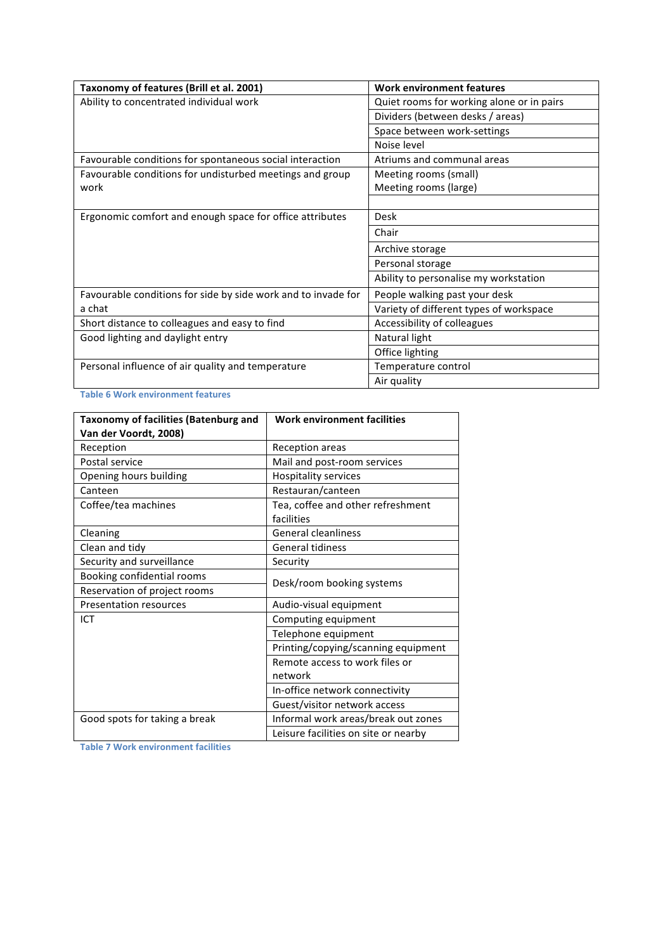| Taxonomy of features (Brill et al. 2001)                      | <b>Work environment features</b>          |
|---------------------------------------------------------------|-------------------------------------------|
| Ability to concentrated individual work                       | Quiet rooms for working alone or in pairs |
|                                                               | Dividers (between desks / areas)          |
|                                                               | Space between work-settings               |
|                                                               | Noise level                               |
| Favourable conditions for spontaneous social interaction      | Atriums and communal areas                |
| Favourable conditions for undisturbed meetings and group      | Meeting rooms (small)                     |
| work                                                          | Meeting rooms (large)                     |
|                                                               |                                           |
| Ergonomic comfort and enough space for office attributes      | Desk                                      |
|                                                               | Chair                                     |
|                                                               | Archive storage                           |
|                                                               | Personal storage                          |
|                                                               | Ability to personalise my workstation     |
| Favourable conditions for side by side work and to invade for | People walking past your desk             |
| a chat                                                        | Variety of different types of workspace   |
| Short distance to colleagues and easy to find                 | Accessibility of colleagues               |
| Good lighting and daylight entry                              | Natural light                             |
|                                                               | Office lighting                           |
| Personal influence of air quality and temperature             | Temperature control                       |
|                                                               | Air quality                               |

**Table 6 Work environment features** 

| <b>Taxonomy of facilities (Batenburg and</b> | <b>Work environment facilities</b>              |  |  |  |  |
|----------------------------------------------|-------------------------------------------------|--|--|--|--|
| Van der Voordt, 2008)                        |                                                 |  |  |  |  |
| Reception                                    | Reception areas                                 |  |  |  |  |
| Postal service                               | Mail and post-room services                     |  |  |  |  |
| Opening hours building                       | <b>Hospitality services</b>                     |  |  |  |  |
| Canteen                                      | Restauran/canteen                               |  |  |  |  |
| Coffee/tea machines                          | Tea, coffee and other refreshment<br>facilities |  |  |  |  |
| Cleaning                                     | <b>General cleanliness</b>                      |  |  |  |  |
| Clean and tidy                               | <b>General tidiness</b>                         |  |  |  |  |
| Security and surveillance                    | Security                                        |  |  |  |  |
| Booking confidential rooms                   |                                                 |  |  |  |  |
| Reservation of project rooms                 | Desk/room booking systems                       |  |  |  |  |
| <b>Presentation resources</b>                | Audio-visual equipment                          |  |  |  |  |
| ICT                                          | Computing equipment                             |  |  |  |  |
|                                              | Telephone equipment                             |  |  |  |  |
|                                              | Printing/copying/scanning equipment             |  |  |  |  |
|                                              | Remote access to work files or                  |  |  |  |  |
|                                              | network                                         |  |  |  |  |
|                                              | In-office network connectivity                  |  |  |  |  |
|                                              | Guest/visitor network access                    |  |  |  |  |
| Good spots for taking a break                | Informal work areas/break out zones             |  |  |  |  |
|                                              | Leisure facilities on site or nearby            |  |  |  |  |

**Table 7 Work environment facilities**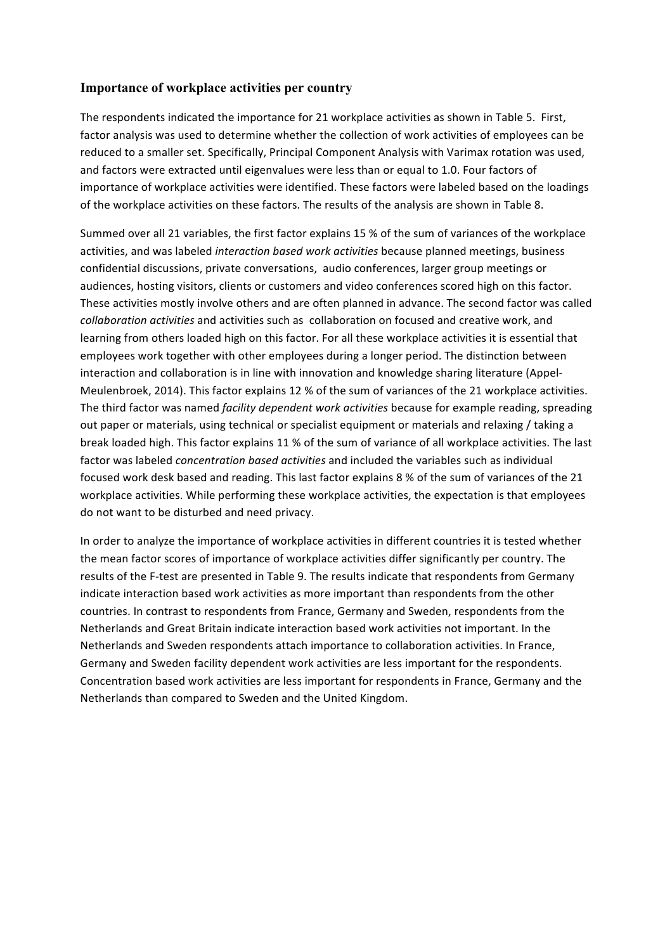#### **Importance of workplace activities per country**

The respondents indicated the importance for 21 workplace activities as shown in Table 5. First, factor analysis was used to determine whether the collection of work activities of employees can be reduced to a smaller set. Specifically, Principal Component Analysis with Varimax rotation was used, and factors were extracted until eigenvalues were less than or equal to 1.0. Four factors of importance of workplace activities were identified. These factors were labeled based on the loadings of the workplace activities on these factors. The results of the analysis are shown in Table 8.

Summed over all 21 variables, the first factor explains 15 % of the sum of variances of the workplace activities, and was labeled *interaction based work activities* because planned meetings, business confidential discussions, private conversations, audio conferences, larger group meetings or audiences, hosting visitors, clients or customers and video conferences scored high on this factor. These activities mostly involve others and are often planned in advance. The second factor was called *collaboration activities* and activities such as collaboration on focused and creative work, and learning from others loaded high on this factor. For all these workplace activities it is essential that employees work together with other employees during a longer period. The distinction between interaction and collaboration is in line with innovation and knowledge sharing literature (Appel-Meulenbroek, 2014). This factor explains 12 % of the sum of variances of the 21 workplace activities. The third factor was named *facility dependent work activities* because for example reading, spreading out paper or materials, using technical or specialist equipment or materials and relaxing / taking a break loaded high. This factor explains 11 % of the sum of variance of all workplace activities. The last factor was labeled *concentration based activities* and included the variables such as individual focused work desk based and reading. This last factor explains 8 % of the sum of variances of the 21 workplace activities. While performing these workplace activities, the expectation is that employees do not want to be disturbed and need privacy.

In order to analyze the importance of workplace activities in different countries it is tested whether the mean factor scores of importance of workplace activities differ significantly per country. The results of the F-test are presented in Table 9. The results indicate that respondents from Germany indicate interaction based work activities as more important than respondents from the other countries. In contrast to respondents from France, Germany and Sweden, respondents from the Netherlands and Great Britain indicate interaction based work activities not important. In the Netherlands and Sweden respondents attach importance to collaboration activities. In France, Germany and Sweden facility dependent work activities are less important for the respondents. Concentration based work activities are less important for respondents in France, Germany and the Netherlands than compared to Sweden and the United Kingdom.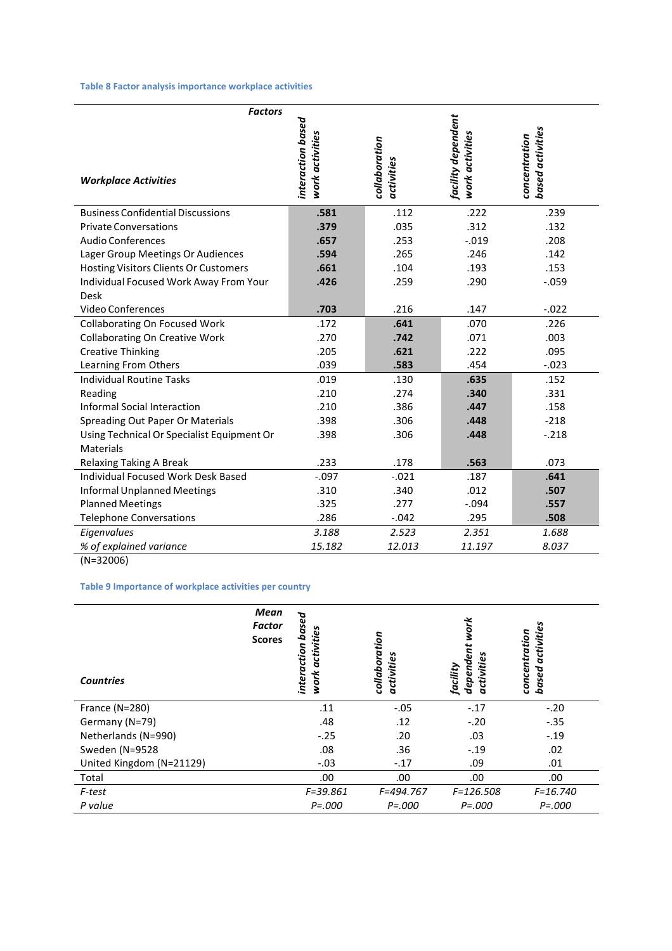#### **Table 8 Factor analysis importance workplace activities**

| <b>Factors</b>                               |                                      |                             |                                       |                                   |
|----------------------------------------------|--------------------------------------|-----------------------------|---------------------------------------|-----------------------------------|
| <b>Workplace Activities</b>                  | interaction based<br>work activities | collaboration<br>activities | facility dependent<br>work activities | based activities<br>concentration |
| <b>Business Confidential Discussions</b>     | .581                                 | .112                        | .222                                  | .239                              |
| <b>Private Conversations</b>                 | .379                                 | .035                        | .312                                  | .132                              |
| <b>Audio Conferences</b>                     | .657                                 | .253                        | $-.019$                               | .208                              |
| Lager Group Meetings Or Audiences            | .594                                 | .265                        | .246                                  | .142                              |
| <b>Hosting Visitors Clients Or Customers</b> | .661                                 | .104                        | .193                                  | .153                              |
| Individual Focused Work Away From Your       | .426                                 | .259                        | .290                                  | $-.059$                           |
| <b>Desk</b>                                  |                                      |                             |                                       |                                   |
| <b>Video Conferences</b>                     | .703                                 | .216                        | .147                                  | $-.022$                           |
| <b>Collaborating On Focused Work</b>         | .172                                 | .641                        | .070                                  | .226                              |
| <b>Collaborating On Creative Work</b>        | .270                                 | .742                        | .071                                  | .003                              |
| <b>Creative Thinking</b>                     | .205                                 | .621                        | .222                                  | .095                              |
| Learning From Others                         | .039                                 | .583                        | .454                                  | $-.023$                           |
| <b>Individual Routine Tasks</b>              | .019                                 | .130                        | .635                                  | .152                              |
| Reading                                      | .210                                 | .274                        | .340                                  | .331                              |
| <b>Informal Social Interaction</b>           | .210                                 | .386                        | .447                                  | .158                              |
| Spreading Out Paper Or Materials             | .398                                 | .306                        | .448                                  | $-218$                            |
| Using Technical Or Specialist Equipment Or   | .398                                 | .306                        | .448                                  | $-.218$                           |
| <b>Materials</b>                             |                                      |                             |                                       |                                   |
| <b>Relaxing Taking A Break</b>               | .233                                 | .178                        | .563                                  | .073                              |
| Individual Focused Work Desk Based           | $-.097$                              | $-.021$                     | .187                                  | .641                              |
| <b>Informal Unplanned Meetings</b>           | .310                                 | .340                        | .012                                  | .507                              |
| <b>Planned Meetings</b>                      | .325                                 | .277                        | $-.094$                               | .557                              |
| <b>Telephone Conversations</b>               | .286                                 | $-.042$                     | .295                                  | .508                              |
| Eigenvalues                                  | 3.188                                | 2.523                       | 2.351                                 | 1.688                             |
| % of explained variance                      | 15.182                               | 12.013                      | 11.197                                | 8.037                             |
| $(N=32006)$                                  |                                      |                             |                                       |                                   |

#### **Table 9 Importance of workplace activities per country**

| <b>Countries</b>         | Mean<br>Factor<br><b>Scores</b> | interaction based<br>activities<br>work | collaboration<br>activities | work<br>dependent<br>activities<br>facility | activities<br>concentration<br>based |
|--------------------------|---------------------------------|-----------------------------------------|-----------------------------|---------------------------------------------|--------------------------------------|
| France (N=280)           |                                 | .11                                     | $-.05$                      | $-.17$                                      | $-.20$                               |
| Germany (N=79)           |                                 | .48                                     | .12                         | $-.20$                                      | $-0.35$                              |
| Netherlands (N=990)      |                                 | $-.25$                                  | .20                         | .03                                         | $-.19$                               |
| Sweden (N=9528           |                                 | .08                                     | .36                         | $-.19$                                      | .02                                  |
| United Kingdom (N=21129) |                                 | $-.03$                                  | $-.17$                      | .09                                         | .01                                  |
| Total                    |                                 | .00.                                    | .00.                        | .00                                         | .00.                                 |
| F-test                   |                                 | $F = 39.861$                            | F=494.767                   | F=126.508                                   | $F = 16.740$                         |
| P value                  |                                 | $P = 000$                               | $P = 000$                   | $P = 000$                                   | $P = .000$                           |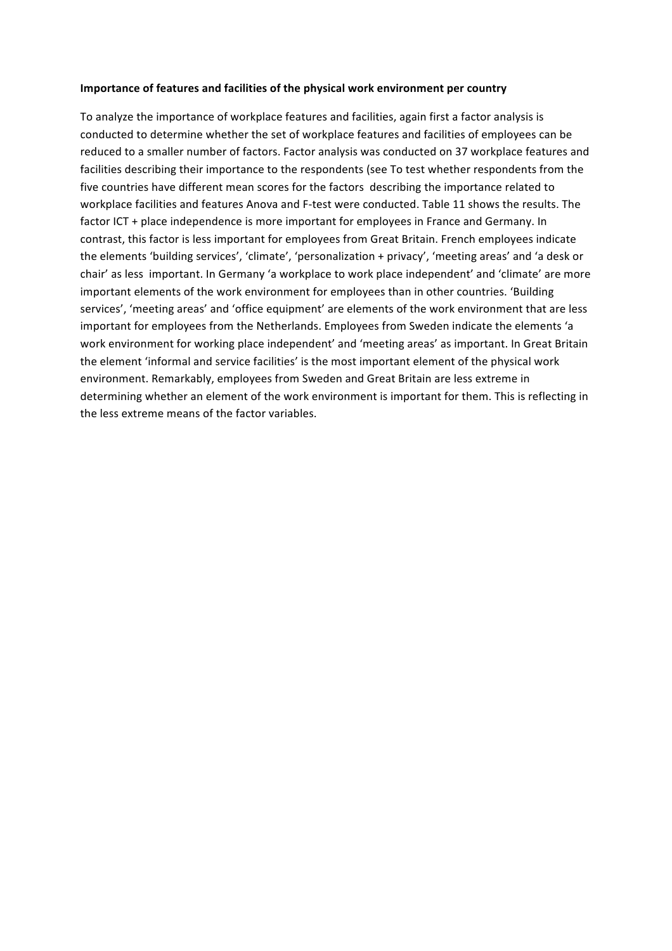#### **Importance of features and facilities of the physical work environment per country**

To analyze the importance of workplace features and facilities, again first a factor analysis is conducted to determine whether the set of workplace features and facilities of employees can be reduced to a smaller number of factors. Factor analysis was conducted on 37 workplace features and facilities describing their importance to the respondents (see To test whether respondents from the five countries have different mean scores for the factors describing the importance related to workplace facilities and features Anova and F-test were conducted. Table 11 shows the results. The factor ICT + place independence is more important for employees in France and Germany. In contrast, this factor is less important for employees from Great Britain. French employees indicate the elements 'building services', 'climate', 'personalization + privacy', 'meeting areas' and 'a desk or chair' as less important. In Germany 'a workplace to work place independent' and 'climate' are more important elements of the work environment for employees than in other countries. 'Building services', 'meeting areas' and 'office equipment' are elements of the work environment that are less important for employees from the Netherlands. Employees from Sweden indicate the elements 'a work environment for working place independent' and 'meeting areas' as important. In Great Britain the element 'informal and service facilities' is the most important element of the physical work environment. Remarkably, employees from Sweden and Great Britain are less extreme in determining whether an element of the work environment is important for them. This is reflecting in the less extreme means of the factor variables.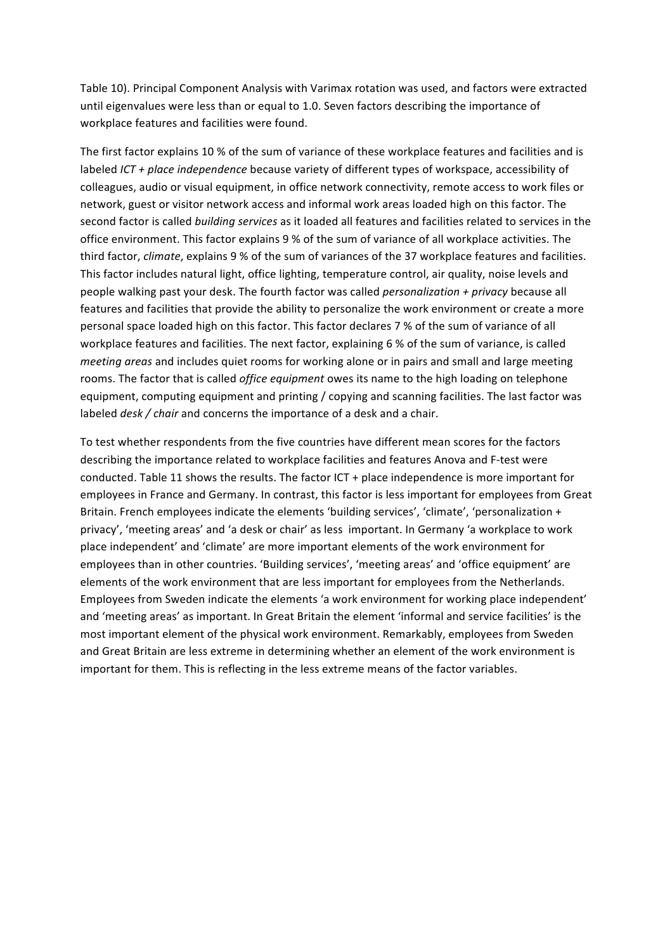Table 10). Principal Component Analysis with Varimax rotation was used, and factors were extracted until eigenvalues were less than or equal to 1.0. Seven factors describing the importance of workplace features and facilities were found.

The first factor explains 10 % of the sum of variance of these workplace features and facilities and is labeled *ICT* + place independence because variety of different types of workspace, accessibility of colleagues, audio or visual equipment, in office network connectivity, remote access to work files or network, guest or visitor network access and informal work areas loaded high on this factor. The second factor is called *building services* as it loaded all features and facilities related to services in the office environment. This factor explains 9 % of the sum of variance of all workplace activities. The third factor, *climate*, explains 9 % of the sum of variances of the 37 workplace features and facilities. This factor includes natural light, office lighting, temperature control, air quality, noise levels and people walking past your desk. The fourth factor was called *personalization + privacy* because all features and facilities that provide the ability to personalize the work environment or create a more personal space loaded high on this factor. This factor declares 7 % of the sum of variance of all workplace features and facilities. The next factor, explaining 6 % of the sum of variance, is called *meeting areas* and includes quiet rooms for working alone or in pairs and small and large meeting rooms. The factor that is called *office equipment* owes its name to the high loading on telephone equipment, computing equipment and printing / copying and scanning facilities. The last factor was labeled *desk* / *chair* and concerns the importance of a desk and a chair.

To test whether respondents from the five countries have different mean scores for the factors describing the importance related to workplace facilities and features Anova and F-test were conducted. Table 11 shows the results. The factor ICT + place independence is more important for employees in France and Germany. In contrast, this factor is less important for employees from Great Britain. French employees indicate the elements 'building services', 'climate', 'personalization + privacy', 'meeting areas' and 'a desk or chair' as less important. In Germany 'a workplace to work place independent' and 'climate' are more important elements of the work environment for employees than in other countries. 'Building services', 'meeting areas' and 'office equipment' are elements of the work environment that are less important for employees from the Netherlands. Employees from Sweden indicate the elements 'a work environment for working place independent' and 'meeting areas' as important. In Great Britain the element 'informal and service facilities' is the most important element of the physical work environment. Remarkably, employees from Sweden and Great Britain are less extreme in determining whether an element of the work environment is important for them. This is reflecting in the less extreme means of the factor variables.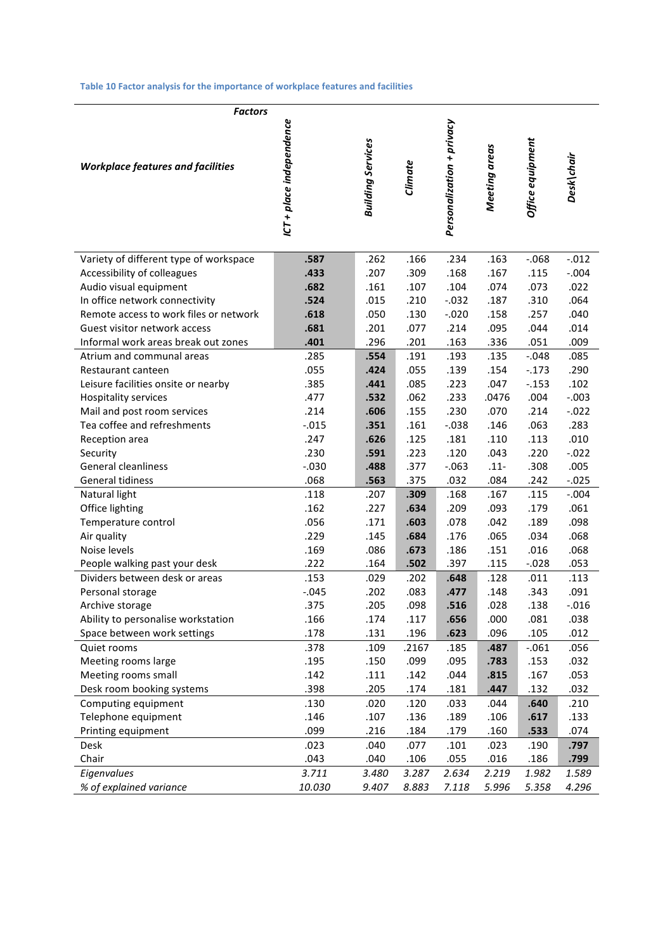#### Table 10 Factor analysis for the importance of workplace features and facilities

| <b>Factors</b>                           |                          |                          |         |                           |               |                  |            |
|------------------------------------------|--------------------------|--------------------------|---------|---------------------------|---------------|------------------|------------|
| <b>Workplace features and facilities</b> | ICT + place independence | <b>Building Services</b> | Climate | Personalization + privacy | Meeting areas | Office equipment | Desk\chair |
| Variety of different type of workspace   | .587                     | .262                     | .166    | .234                      | .163          | $-0.068$         | $-.012$    |
| Accessibility of colleagues              | .433                     | .207                     | .309    | .168                      | .167          | .115             | $-.004$    |
| Audio visual equipment                   | .682                     | .161                     | .107    | .104                      | .074          | .073             | .022       |
| In office network connectivity           | .524                     | .015                     | .210    | $-.032$                   | .187          | .310             | .064       |
| Remote access to work files or network   | .618                     | .050                     | .130    | $-.020$                   | .158          | .257             | .040       |
| Guest visitor network access             | .681                     | .201                     | .077    | .214                      | .095          | .044             | .014       |
| Informal work areas break out zones      | .401                     | .296                     | .201    | .163                      | .336          | .051             | .009       |
| Atrium and communal areas                | .285                     | .554                     | .191    | .193                      | .135          | $-.048$          | .085       |
| Restaurant canteen                       | .055                     | .424                     | .055    | .139                      | .154          | $-.173$          | .290       |
| Leisure facilities onsite or nearby      | .385                     | .441                     | .085    | .223                      | .047          | $-.153$          | .102       |
| <b>Hospitality services</b>              | .477                     | .532                     | .062    | .233                      | .0476         | .004             | $-.003$    |
| Mail and post room services              | .214                     | .606                     | .155    | .230                      | .070          | .214             | $-.022$    |
| Tea coffee and refreshments              | $-.015$                  | .351                     | .161    | $-.038$                   | .146          | .063             | .283       |
| Reception area                           | .247                     | .626                     | .125    | .181                      | .110          | .113             | .010       |
| Security                                 | .230                     | .591                     | .223    | .120                      | .043          | .220             | $-.022$    |
| <b>General cleanliness</b>               | $-.030$                  | .488                     | .377    | $-0.63$                   | $.11 -$       | .308             | .005       |
| General tidiness                         | .068                     | .563                     | .375    | .032                      | .084          | .242             | $-.025$    |
| Natural light                            | .118                     | .207                     | .309    | .168                      | .167          | .115             | $-.004$    |
| Office lighting                          | .162                     | .227                     | .634    | .209                      | .093          | .179             | .061       |
| Temperature control                      | .056                     | .171                     | .603    | .078                      | .042          | .189             | .098       |
| Air quality                              | .229                     | .145                     | .684    | .176                      | .065          | .034             | .068       |
| Noise levels                             | .169                     | .086                     | .673    | .186                      | .151          | .016             | .068       |
| People walking past your desk            | .222                     | .164                     | .502    | .397                      | .115          | $-.028$          | .053       |
| Dividers between desk or areas           | .153                     | .029                     | .202    | .648                      | .128          | .011             | .113       |
| Personal storage                         | $-.045$                  | .202                     | .083    | .477                      | .148          | .343             | .091       |
| Archive storage                          | .375                     | .205                     | .098    | .516                      | .028          | .138             | $-0.016$   |
| Ability to personalise workstation       | .166                     | .174                     | .117    | .656                      | .000          | .081             | .038       |
| Space between work settings              | .178                     | .131                     | .196    | .623                      | .096          | .105             | .012       |
| Quiet rooms                              | .378                     | .109                     | .2167   | .185                      | .487          | $-.061$          | .056       |
| Meeting rooms large                      | .195                     | .150                     | .099    | .095                      | .783          | .153             | .032       |
| Meeting rooms small                      | .142                     | .111                     | .142    | .044                      | .815          | .167             | .053       |
| Desk room booking systems                | .398                     | .205                     | .174    | .181                      | .447          | .132             | .032       |
| Computing equipment                      | .130                     | .020                     | .120    | .033                      | .044          | .640             | .210       |
| Telephone equipment                      | .146                     | .107                     | .136    | .189                      | .106          | .617             | .133       |
| Printing equipment                       | .099                     | .216                     | .184    | .179                      | .160          | .533             | .074       |
| Desk                                     | .023                     | .040                     | .077    | .101                      | .023          | .190             | .797       |
| Chair                                    | .043                     | .040                     | .106    | .055                      | .016          | .186             | .799       |
| Eigenvalues                              | 3.711                    | 3.480                    | 3.287   | 2.634                     | 2.219         | 1.982            | 1.589      |
| % of explained variance                  | 10.030                   | 9.407                    | 8.883   | 7.118                     | 5.996         | 5.358            | 4.296      |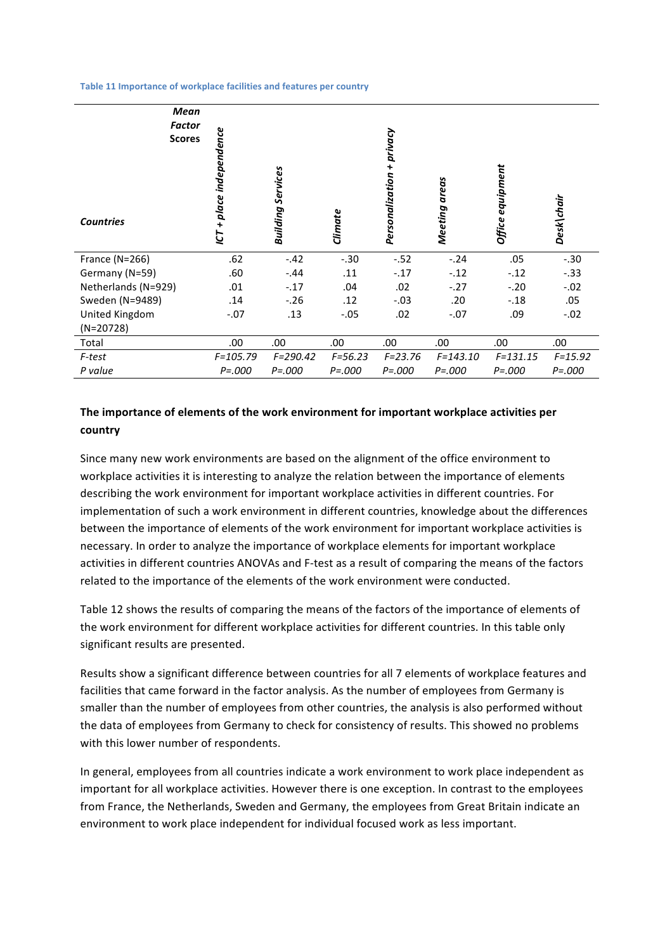Table 11 Importance of workplace facilities and features per country

| Mean<br><b>Factor</b><br><b>Scores</b><br><b>Countries</b> | ICT + place independence | <b>Building Services</b> | Climate     | privacy<br>Personalization + | Meeting areas | Office equipment | Desk\chair  |
|------------------------------------------------------------|--------------------------|--------------------------|-------------|------------------------------|---------------|------------------|-------------|
| France (N=266)                                             | .62                      | $-.42$                   | $-.30$      | $-.52$                       | $-.24$        | .05              | $-.30$      |
| Germany (N=59)                                             | .60                      | $-.44$                   | .11         | $-.17$                       | $-.12$        | $-.12$           | $-.33$      |
| Netherlands (N=929)                                        | .01                      | $-.17$                   | .04         | .02                          | $-.27$        | $-.20$           | $-.02$      |
| Sweden (N=9489)                                            | .14                      | $-.26$                   | .12         | $-.03$                       | .20           | $-.18$           | .05         |
| United Kingdom                                             | $-.07$                   | .13                      | $-.05$      | .02                          | $-.07$        | .09              | $-.02$      |
| $(N=20728)$                                                |                          |                          |             |                              |               |                  |             |
| Total                                                      | .00                      | .00                      | .00.        | .00                          | .00.          | .00              | .00         |
| F-test                                                     | $F = 105.79$             | $F = 290.42$             | $F = 56.23$ | $F = 23.76$                  | $F = 143.10$  | $F = 131.15$     | $F = 15.92$ |
| P value                                                    | $P = 000$                | $P = 000$                | $P = 000$   | $P = 000$                    | $P = 000$     | $P = 000$        | $P = 000$   |

#### The importance of elements of the work environment for important workplace activities per **country**

Since many new work environments are based on the alignment of the office environment to workplace activities it is interesting to analyze the relation between the importance of elements describing the work environment for important workplace activities in different countries. For implementation of such a work environment in different countries, knowledge about the differences between the importance of elements of the work environment for important workplace activities is necessary. In order to analyze the importance of workplace elements for important workplace activities in different countries ANOVAs and F-test as a result of comparing the means of the factors related to the importance of the elements of the work environment were conducted.

Table 12 shows the results of comparing the means of the factors of the importance of elements of the work environment for different workplace activities for different countries. In this table only significant results are presented.

Results show a significant difference between countries for all 7 elements of workplace features and facilities that came forward in the factor analysis. As the number of employees from Germany is smaller than the number of employees from other countries, the analysis is also performed without the data of employees from Germany to check for consistency of results. This showed no problems with this lower number of respondents.

In general, employees from all countries indicate a work environment to work place independent as important for all workplace activities. However there is one exception. In contrast to the employees from France, the Netherlands, Sweden and Germany, the employees from Great Britain indicate an environment to work place independent for individual focused work as less important.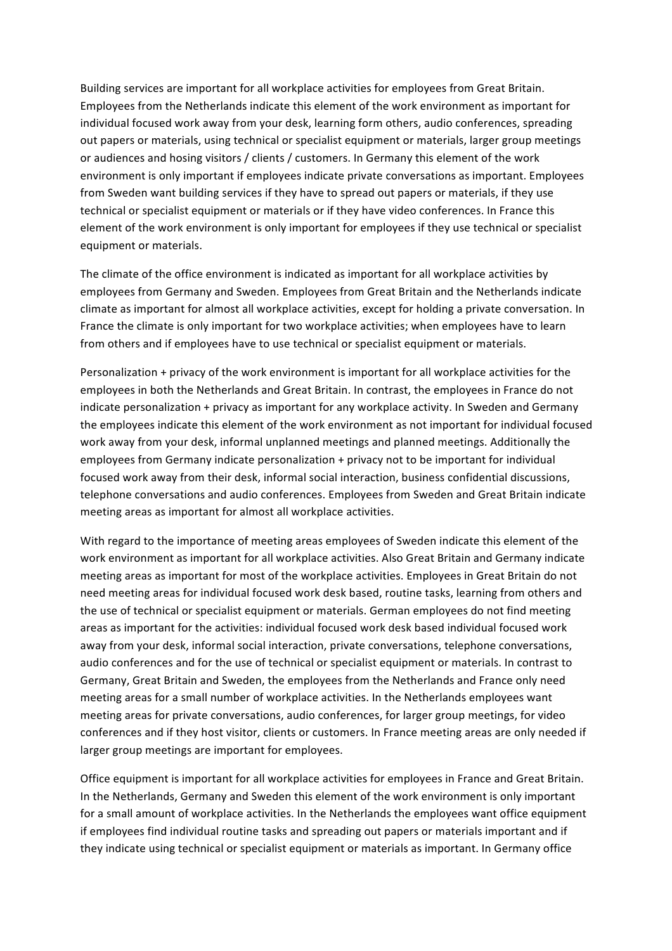Building services are important for all workplace activities for employees from Great Britain. Employees from the Netherlands indicate this element of the work environment as important for individual focused work away from your desk, learning form others, audio conferences, spreading out papers or materials, using technical or specialist equipment or materials, larger group meetings or audiences and hosing visitors / clients / customers. In Germany this element of the work environment is only important if employees indicate private conversations as important. Employees from Sweden want building services if they have to spread out papers or materials, if they use technical or specialist equipment or materials or if they have video conferences. In France this element of the work environment is only important for employees if they use technical or specialist equipment or materials.

The climate of the office environment is indicated as important for all workplace activities by employees from Germany and Sweden. Employees from Great Britain and the Netherlands indicate climate as important for almost all workplace activities, except for holding a private conversation. In France the climate is only important for two workplace activities; when employees have to learn from others and if employees have to use technical or specialist equipment or materials.

Personalization + privacy of the work environment is important for all workplace activities for the employees in both the Netherlands and Great Britain. In contrast, the employees in France do not indicate personalization + privacy as important for any workplace activity. In Sweden and Germany the employees indicate this element of the work environment as not important for individual focused work away from your desk, informal unplanned meetings and planned meetings. Additionally the employees from Germany indicate personalization + privacy not to be important for individual focused work away from their desk, informal social interaction, business confidential discussions, telephone conversations and audio conferences. Employees from Sweden and Great Britain indicate meeting areas as important for almost all workplace activities.

With regard to the importance of meeting areas employees of Sweden indicate this element of the work environment as important for all workplace activities. Also Great Britain and Germany indicate meeting areas as important for most of the workplace activities. Employees in Great Britain do not need meeting areas for individual focused work desk based, routine tasks, learning from others and the use of technical or specialist equipment or materials. German employees do not find meeting areas as important for the activities: individual focused work desk based individual focused work away from your desk, informal social interaction, private conversations, telephone conversations, audio conferences and for the use of technical or specialist equipment or materials. In contrast to Germany, Great Britain and Sweden, the employees from the Netherlands and France only need meeting areas for a small number of workplace activities. In the Netherlands employees want meeting areas for private conversations, audio conferences, for larger group meetings, for video conferences and if they host visitor, clients or customers. In France meeting areas are only needed if larger group meetings are important for employees.

Office equipment is important for all workplace activities for employees in France and Great Britain. In the Netherlands, Germany and Sweden this element of the work environment is only important for a small amount of workplace activities. In the Netherlands the employees want office equipment if employees find individual routine tasks and spreading out papers or materials important and if they indicate using technical or specialist equipment or materials as important. In Germany office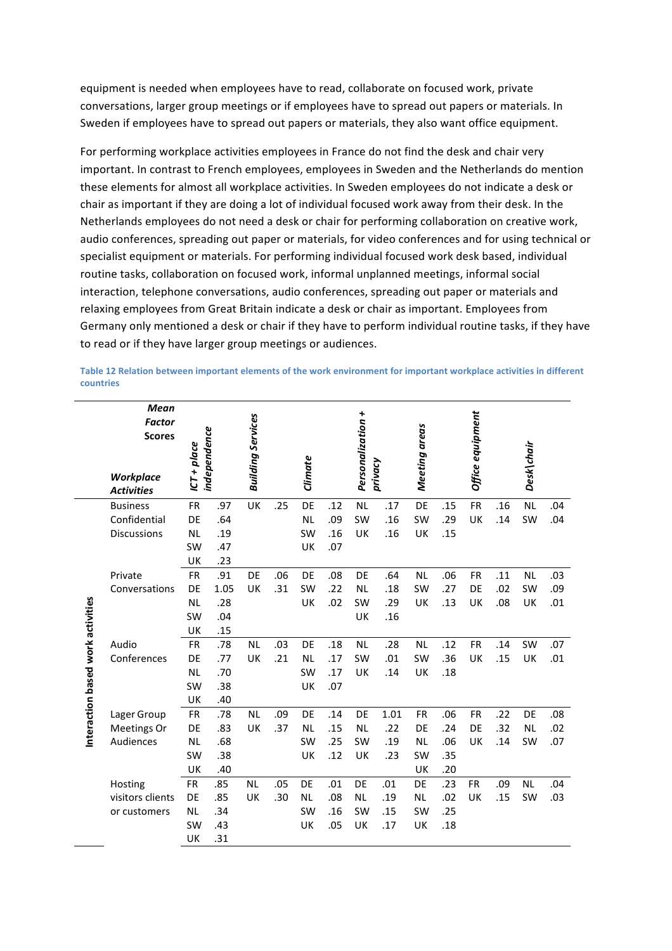equipment is needed when employees have to read, collaborate on focused work, private conversations, larger group meetings or if employees have to spread out papers or materials. In Sweden if employees have to spread out papers or materials, they also want office equipment.

For performing workplace activities employees in France do not find the desk and chair very important. In contrast to French employees, employees in Sweden and the Netherlands do mention these elements for almost all workplace activities. In Sweden employees do not indicate a desk or chair as important if they are doing a lot of individual focused work away from their desk. In the Netherlands employees do not need a desk or chair for performing collaboration on creative work, audio conferences, spreading out paper or materials, for video conferences and for using technical or specialist equipment or materials. For performing individual focused work desk based, individual routine tasks, collaboration on focused work, informal unplanned meetings, informal social interaction, telephone conversations, audio conferences, spreading out paper or materials and relaxing employees from Great Britain indicate a desk or chair as important. Employees from Germany only mentioned a desk or chair if they have to perform individual routine tasks, if they have to read or if they have larger group meetings or audiences.

|                                   | <b>Mean</b><br><b>Factor</b><br><b>Scores</b> |               |              | <b>Building Services</b> |     |           |     | Personalization + |         |               |     | Office equipment |     |            |     |
|-----------------------------------|-----------------------------------------------|---------------|--------------|--------------------------|-----|-----------|-----|-------------------|---------|---------------|-----|------------------|-----|------------|-----|
|                                   | <b>Workplace</b><br><b>Activities</b>         | $ICT + place$ | independence |                          |     | Climate   |     |                   | privacy | Meeting areas |     |                  |     | Desk\chair |     |
|                                   | <b>Business</b>                               | <b>FR</b>     | .97          | UK                       | .25 | DE        | .12 | <b>NL</b>         | .17     | DE            | .15 | <b>FR</b>        | .16 | <b>NL</b>  | .04 |
|                                   | Confidential                                  | DE            | .64          |                          |     | <b>NL</b> | .09 | SW                | .16     | SW            | .29 | UK               | .14 | SW         | .04 |
|                                   | <b>Discussions</b>                            | <b>NL</b>     | .19          |                          |     | SW        | .16 | UK                | .16     | UK            | .15 |                  |     |            |     |
|                                   |                                               | SW            | .47          |                          |     | <b>UK</b> | .07 |                   |         |               |     |                  |     |            |     |
|                                   |                                               | UK            | .23          |                          |     |           |     |                   |         |               |     |                  |     |            |     |
|                                   | Private                                       | <b>FR</b>     | .91          | DE                       | .06 | DE        | .08 | DE                | .64     | <b>NL</b>     | .06 | <b>FR</b>        | .11 | <b>NL</b>  | .03 |
|                                   | Conversations                                 | DE            | 1.05         | UK                       | .31 | SW        | .22 | <b>NL</b>         | .18     | SW            | .27 | DE               | .02 | SW         | .09 |
|                                   |                                               | <b>NL</b>     | .28          |                          |     | UK        | .02 | SW                | .29     | UK            | .13 | UK               | .08 | UK         | .01 |
|                                   |                                               | SW            | .04          |                          |     |           |     | UK                | .16     |               |     |                  |     |            |     |
| Interaction based work activities |                                               | UK            | .15          |                          |     |           |     |                   |         |               |     |                  |     |            |     |
|                                   | Audio                                         | <b>FR</b>     | .78          | <b>NL</b>                | .03 | DE        | .18 | <b>NL</b>         | .28     | <b>NL</b>     | .12 | <b>FR</b>        | .14 | SW         | .07 |
|                                   | Conferences                                   | DE            | .77          | UK                       | .21 | <b>NL</b> | .17 | SW                | .01     | SW            | .36 | UK               | .15 | UK         | .01 |
|                                   |                                               | <b>NL</b>     | .70          |                          |     | SW        | .17 | UK                | .14     | UK            | .18 |                  |     |            |     |
|                                   |                                               | SW            | .38          |                          |     | UK        | .07 |                   |         |               |     |                  |     |            |     |
|                                   |                                               | UK            | .40          |                          |     |           |     |                   |         |               |     |                  |     |            |     |
|                                   | Lager Group                                   | <b>FR</b>     | .78          | <b>NL</b>                | .09 | DE        | .14 | DE                | 1.01    | <b>FR</b>     | .06 | <b>FR</b>        | .22 | DE         | .08 |
|                                   | Meetings Or                                   | DE            | .83          | UK                       | .37 | <b>NL</b> | .15 | <b>NL</b>         | .22     | DE            | .24 | DE               | .32 | <b>NL</b>  | .02 |
|                                   | Audiences                                     | <b>NL</b>     | .68          |                          |     | SW        | .25 | SW                | .19     | <b>NL</b>     | .06 | UK               | .14 | SW         | .07 |
|                                   |                                               | SW            | .38          |                          |     | UK        | .12 | UK                | .23     | SW            | .35 |                  |     |            |     |
|                                   |                                               | UK            | .40          |                          |     |           |     |                   |         | UK            | .20 |                  |     |            |     |
|                                   | Hosting                                       | <b>FR</b>     | .85          | <b>NL</b>                | .05 | DE        | .01 | DE                | .01     | DE            | .23 | <b>FR</b>        | .09 | <b>NL</b>  | .04 |
|                                   | visitors clients                              | DE            | .85          | UK                       | .30 | <b>NL</b> | .08 | <b>NL</b>         | .19     | <b>NL</b>     | .02 | UK               | .15 | SW         | .03 |
|                                   | or customers                                  | <b>NL</b>     | .34          |                          |     | SW        | .16 | SW                | .15     | SW            | .25 |                  |     |            |     |
|                                   |                                               | SW            | .43          |                          |     | UK        | .05 | UK                | .17     | UK            | .18 |                  |     |            |     |
|                                   |                                               | UK            | .31          |                          |     |           |     |                   |         |               |     |                  |     |            |     |

Table 12 Relation between important elements of the work environment for important workplace activities in different **countries**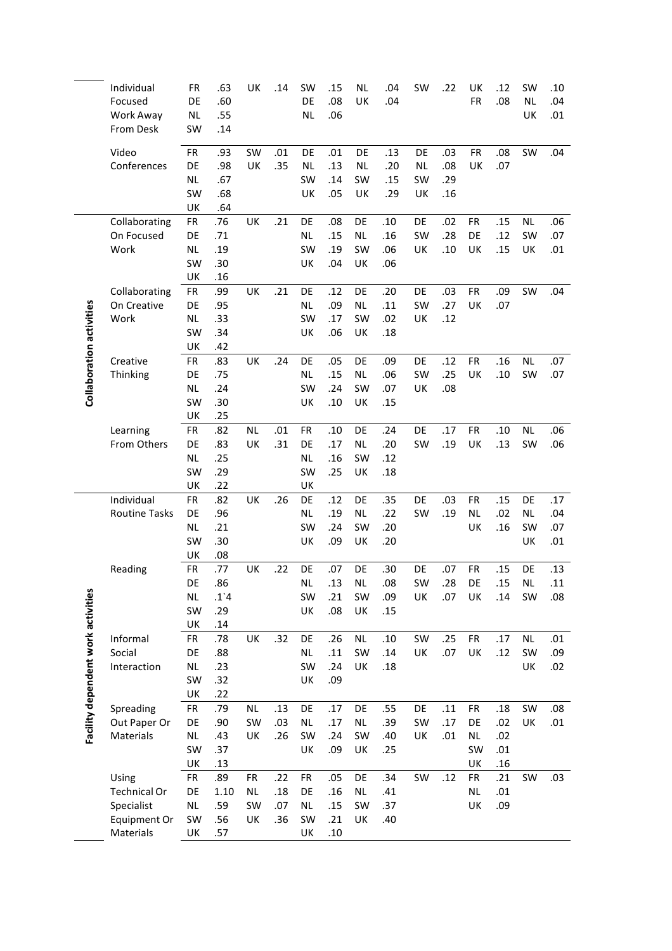|                                    | Individual<br>Focused        | FR<br>DE        | .63<br>.60    | UK              | .14        | SW<br>DE        | .15<br>.08 | <b>NL</b><br>UK | .04<br>.04 | SW        | .22        | UK<br><b>FR</b> | .12<br>.08 | SW<br>NL. | .10<br>.04 |
|------------------------------------|------------------------------|-----------------|---------------|-----------------|------------|-----------------|------------|-----------------|------------|-----------|------------|-----------------|------------|-----------|------------|
|                                    | Work Away                    | <b>NL</b>       | .55           |                 |            | <b>NL</b>       | .06        |                 |            |           |            |                 |            | UK        | .01        |
|                                    | From Desk                    | SW              | .14           |                 |            |                 |            |                 |            |           |            |                 |            |           |            |
|                                    | Video                        |                 |               | SW              |            | DE              | .01        | DE              |            | DE        |            | <b>FR</b>       | .08        |           |            |
|                                    | Conferences                  | FR<br>DE        | .93<br>.98    | UK              | .01<br>.35 | <b>NL</b>       | .13        | <b>NL</b>       | .13<br>.20 | <b>NL</b> | .03<br>.08 | UK              | .07        | SW        | .04        |
|                                    |                              | <b>NL</b>       | .67           |                 |            | SW              | .14        | SW              | .15        | SW        | .29        |                 |            |           |            |
|                                    |                              | SW              | .68           |                 |            | UK              | .05        | UK              | .29        | UK        | .16        |                 |            |           |            |
|                                    |                              | UK              | .64           |                 |            |                 |            |                 |            |           |            |                 |            |           |            |
|                                    | Collaborating                | <b>FR</b>       | .76           | UK              | .21        | DE              | .08        | DE              | .10        | DE        | .02        | <b>FR</b>       | .15        | NL.       | .06        |
|                                    | On Focused                   | DE              | .71           |                 |            | <b>NL</b>       | .15        | NL              | .16        | SW        | .28        | DE              | .12        | SW        | .07        |
|                                    | Work                         | <b>NL</b>       | .19           |                 |            | SW              | .19        | SW              | .06        | UK        | .10        | UK              | .15        | UK        | .01        |
|                                    |                              | SW              | .30           |                 |            | UK              | .04        | UK              | .06        |           |            |                 |            |           |            |
|                                    |                              | UK              | .16           |                 |            |                 |            |                 |            |           |            |                 |            |           |            |
|                                    | Collaborating<br>On Creative | <b>FR</b><br>DE | .99<br>.95    | UK              | .21        | DE<br><b>NL</b> | .12<br>.09 | DE<br>NL.       | .20<br>.11 | DE<br>SW  | .03<br>.27 | <b>FR</b><br>UK | .09<br>.07 | SW        | .04        |
|                                    | Work                         | <b>NL</b>       | .33           |                 |            | SW              | .17        | SW              | .02        | UK        | .12        |                 |            |           |            |
|                                    |                              | SW              | .34           |                 |            | UK              | .06        | UK              | .18        |           |            |                 |            |           |            |
|                                    |                              | UK              | .42           |                 |            |                 |            |                 |            |           |            |                 |            |           |            |
| Collaboration activities           | Creative                     | <b>FR</b>       | .83           | UK              | .24        | DE              | .05        | DE              | .09        | DE        | .12        | <b>FR</b>       | .16        | NL.       | .07        |
|                                    | Thinking                     | DE              | .75           |                 |            | <b>NL</b>       | .15        | NL.             | .06        | SW        | .25        | UK              | .10        | SW        | .07        |
|                                    |                              | NL              | .24           |                 |            | SW              | .24        | SW              | .07        | UK        | .08        |                 |            |           |            |
|                                    |                              | SW              | .30           |                 |            | UK              | .10        | UK              | .15        |           |            |                 |            |           |            |
|                                    |                              | UK              | .25           |                 |            |                 |            |                 |            |           |            |                 |            |           |            |
|                                    | Learning                     | FR              | .82           | NL              | .01        | ${\sf FR}$      | .10        | DE              | .24        | DE        | .17        | <b>FR</b>       | .10        | NL.       | .06        |
|                                    | From Others                  | DE              | .83           | UK              | .31        | DE              | .17        | NL              | .20        | SW        | .19        | UK              | .13        | SW        | .06        |
|                                    |                              | <b>NL</b>       | .25           |                 |            | NL              | .16        | SW              | .12        |           |            |                 |            |           |            |
|                                    |                              | SW              | .29           |                 |            | SW              | .25        | UK              | .18        |           |            |                 |            |           |            |
|                                    |                              | UK              | .22           |                 |            | UK              |            |                 |            |           |            |                 |            |           |            |
|                                    | Individual                   | <b>FR</b>       | .82           | UK              | .26        | DE<br><b>NL</b> | .12        | DE              | .35<br>.22 | DE        | .03        | <b>FR</b>       | .15        | DE        | .17        |
|                                    | <b>Routine Tasks</b>         | DE<br><b>NL</b> | .96<br>.21    |                 |            | SW              | .19<br>.24 | NL.<br>SW       | .20        | SW        | .19        | <b>NL</b><br>UK | .02<br>.16 | NL.<br>SW | .04<br>.07 |
|                                    |                              | SW              | .30           |                 |            | UK              | .09        | UK              | .20        |           |            |                 |            | UK        | .01        |
|                                    |                              | UK              | .08           |                 |            |                 |            |                 |            |           |            |                 |            |           |            |
|                                    | Reading                      | <b>FR</b>       | .77           | UK              | .22        | DE              | .07        | DE              | .30        | DE        | .07        | <b>FR</b>       | .15        | DE        | .13        |
|                                    |                              | DE              | .86           |                 |            | <b>NL</b>       | .13        | <b>NL</b>       | .08        | SW        | .28        | DE              | .15        | NL        | .11        |
|                                    |                              | <b>NL</b>       | $.1^{\circ}4$ |                 |            | SW              | .21        | SW              | .09        | UK        | .07        | UK              | .14        | <b>SW</b> | .08        |
|                                    |                              | SW              | .29           |                 |            | UK              | .08        | UK              | .15        |           |            |                 |            |           |            |
|                                    |                              | UK              | .14           |                 |            |                 |            |                 |            |           |            |                 |            |           |            |
|                                    | Informal                     | <b>FR</b>       | .78           | UK              | .32        | DE              | .26        | <b>NL</b>       | .10        | SW        | .25        | FR              | .17        | <b>NL</b> | .01        |
| Facility dependent work activities | Social                       | DE              | .88           |                 |            | <b>NL</b>       | .11        | SW              | .14        | UK        | .07        | UK              | .12        | SW        | .09        |
|                                    | Interaction                  | <b>NL</b>       | .23           |                 |            | SW              | .24        | UK              | .18        |           |            |                 |            | UK        | .02        |
|                                    |                              | SW              | .32           |                 |            | UK              | .09        |                 |            |           |            |                 |            |           |            |
|                                    |                              | UK              | .22           |                 |            |                 |            |                 |            |           |            |                 |            |           |            |
|                                    | Spreading<br>Out Paper Or    | FR<br>DE        | .79           | <b>NL</b><br>SW | .13<br>.03 | DE<br>$\sf NL$  | .17<br>.17 | DE<br><b>NL</b> | .55<br>.39 | DE<br>SW  | .11<br>.17 | FR<br>DE        | .18<br>.02 | SW<br>UK  | .08        |
|                                    | Materials                    | <b>NL</b>       | .90<br>.43    | UK              | .26        | SW              | .24        | SW              | .40        | UK        | .01        | <b>NL</b>       | .02        |           | .01        |
|                                    |                              | SW              | .37           |                 |            | UK              | .09        | UK              | .25        |           |            | SW              | .01        |           |            |
|                                    |                              | UK              | .13           |                 |            |                 |            |                 |            |           |            | UK              | .16        |           |            |
|                                    | Using                        | FR              | .89           | FR              | .22        | FR              | .05        | DE              | .34        | SW        | .12        | <b>FR</b>       | .21        | SW        | .03        |
|                                    | <b>Technical Or</b>          | DE              | 1.10          | <b>NL</b>       | .18        | DE              | .16        | <b>NL</b>       | .41        |           |            | NL              | .01        |           |            |
|                                    | Specialist                   | <b>NL</b>       | .59           | SW              | .07        | $\sf NL$        | .15        | SW              | .37        |           |            | UK              | .09        |           |            |
|                                    | Equipment Or                 | SW              | .56           | UK              | .36        | SW              | .21        | UK              | .40        |           |            |                 |            |           |            |
|                                    | Materials                    | UK              | .57           |                 |            | UK              | .10        |                 |            |           |            |                 |            |           |            |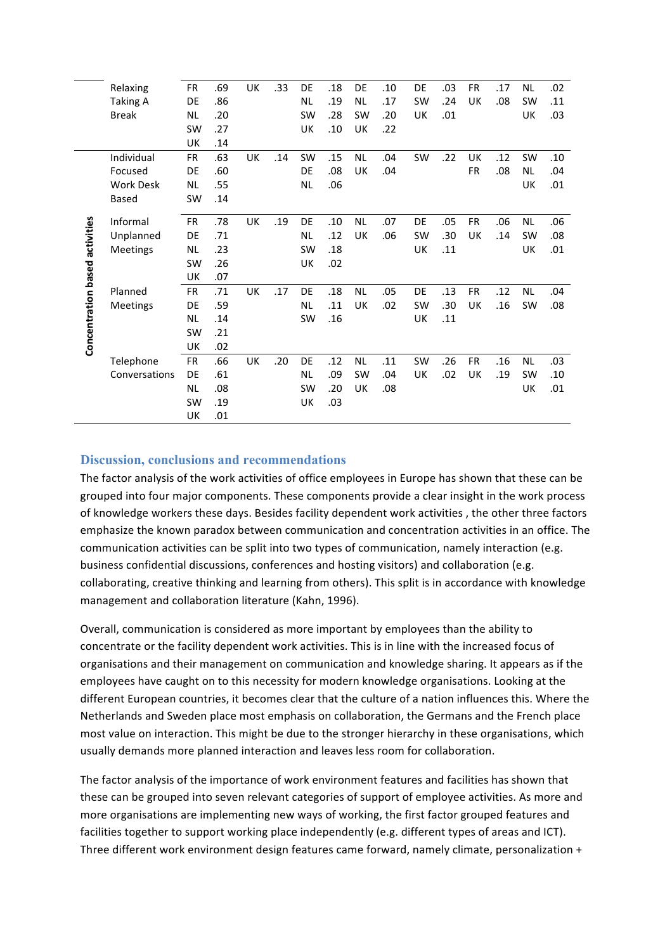|                                | Relaxing         | <b>FR</b> | .69 | UK | .33 | DE        | .18 | DE        | .10 | DE        | .03 | <b>FR</b> | .17 | <b>NL</b> | .02 |
|--------------------------------|------------------|-----------|-----|----|-----|-----------|-----|-----------|-----|-----------|-----|-----------|-----|-----------|-----|
|                                | <b>Taking A</b>  | DE        | .86 |    |     | <b>NL</b> | .19 | <b>NL</b> | .17 | SW        | .24 | UK        | .08 | <b>SW</b> | .11 |
|                                | <b>Break</b>     | <b>NL</b> | .20 |    |     | <b>SW</b> | .28 | <b>SW</b> | .20 | UK        | .01 |           |     | UK        | .03 |
|                                |                  | <b>SW</b> | .27 |    |     | UK        | .10 | UK        | .22 |           |     |           |     |           |     |
|                                |                  | UK        | .14 |    |     |           |     |           |     |           |     |           |     |           |     |
|                                | Individual       | <b>FR</b> | .63 | UK | .14 | <b>SW</b> | .15 | <b>NL</b> | .04 | SW        | .22 | UK        | .12 | SW        | .10 |
|                                | Focused          | DE        | .60 |    |     | DE        | .08 | UK        | .04 |           |     | <b>FR</b> | .08 | <b>NL</b> | .04 |
|                                | <b>Work Desk</b> | <b>NL</b> | .55 |    |     | <b>NL</b> | .06 |           |     |           |     |           |     | UK        | .01 |
|                                | Based            | <b>SW</b> | .14 |    |     |           |     |           |     |           |     |           |     |           |     |
|                                |                  |           |     |    |     |           |     |           |     |           |     |           |     |           |     |
| Concentration based activities | Informal         | <b>FR</b> | .78 | UK | .19 | DE        | .10 | <b>NL</b> | .07 | DE        | .05 | <b>FR</b> | .06 | NL        | .06 |
|                                | Unplanned        | DE        | .71 |    |     | <b>NL</b> | .12 | UK        | .06 | <b>SW</b> | .30 | UK        | .14 | SW        | .08 |
|                                | Meetings         | <b>NL</b> | .23 |    |     | <b>SW</b> | .18 |           |     | UK        | .11 |           |     | UK        | .01 |
|                                |                  | <b>SW</b> | .26 |    |     | UK        | .02 |           |     |           |     |           |     |           |     |
|                                |                  | UK        | .07 |    |     |           |     |           |     |           |     |           |     |           |     |
|                                | Planned          | <b>FR</b> | .71 | UK | .17 | DE        | .18 | <b>NL</b> | .05 | DE        | .13 | <b>FR</b> | .12 | <b>NL</b> | .04 |
|                                | Meetings         | DE        | .59 |    |     | <b>NL</b> | .11 | UK        | .02 | <b>SW</b> | .30 | UK        | .16 | <b>SW</b> | .08 |
|                                |                  | <b>NL</b> | .14 |    |     | <b>SW</b> | .16 |           |     | UK        | .11 |           |     |           |     |
|                                |                  | <b>SW</b> | .21 |    |     |           |     |           |     |           |     |           |     |           |     |
|                                |                  | UK        | .02 |    |     |           |     |           |     |           |     |           |     |           |     |
|                                | Telephone        | <b>FR</b> | .66 | UK | .20 | DE        | .12 | <b>NL</b> | .11 | SW        | .26 | <b>FR</b> | .16 | <b>NL</b> | .03 |
|                                | Conversations    | DE        | .61 |    |     | <b>NL</b> | .09 | <b>SW</b> | .04 | UK        | .02 | UK        | .19 | SW        | .10 |
|                                |                  | <b>NL</b> | .08 |    |     | <b>SW</b> | .20 | UK        | .08 |           |     |           |     | UK        | .01 |
|                                |                  | <b>SW</b> | .19 |    |     | UK        | .03 |           |     |           |     |           |     |           |     |
|                                |                  | UK        | .01 |    |     |           |     |           |     |           |     |           |     |           |     |
|                                |                  |           |     |    |     |           |     |           |     |           |     |           |     |           |     |

#### **Discussion, conclusions and recommendations**

The factor analysis of the work activities of office employees in Europe has shown that these can be grouped into four major components. These components provide a clear insight in the work process of knowledge workers these days. Besides facility dependent work activities, the other three factors emphasize the known paradox between communication and concentration activities in an office. The communication activities can be split into two types of communication, namely interaction (e.g. business confidential discussions, conferences and hosting visitors) and collaboration (e.g. collaborating, creative thinking and learning from others). This split is in accordance with knowledge management and collaboration literature (Kahn, 1996).

Overall, communication is considered as more important by employees than the ability to concentrate or the facility dependent work activities. This is in line with the increased focus of organisations and their management on communication and knowledge sharing. It appears as if the employees have caught on to this necessity for modern knowledge organisations. Looking at the different European countries, it becomes clear that the culture of a nation influences this. Where the Netherlands and Sweden place most emphasis on collaboration, the Germans and the French place most value on interaction. This might be due to the stronger hierarchy in these organisations, which usually demands more planned interaction and leaves less room for collaboration.

The factor analysis of the importance of work environment features and facilities has shown that these can be grouped into seven relevant categories of support of employee activities. As more and more organisations are implementing new ways of working, the first factor grouped features and facilities together to support working place independently (e.g. different types of areas and ICT). Three different work environment design features came forward, namely climate, personalization +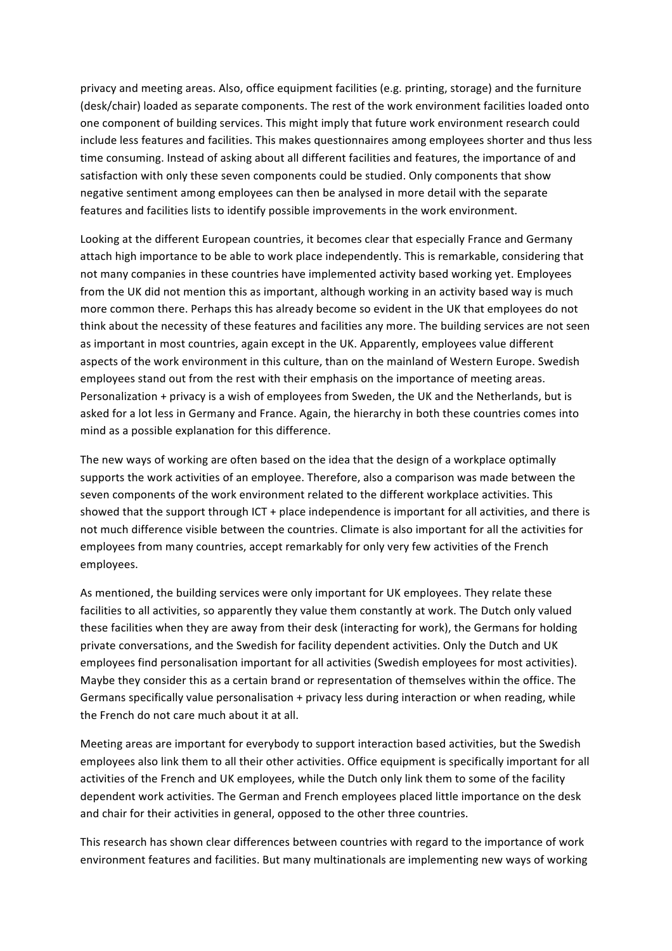privacy and meeting areas. Also, office equipment facilities (e.g. printing, storage) and the furniture (desk/chair) loaded as separate components. The rest of the work environment facilities loaded onto one component of building services. This might imply that future work environment research could include less features and facilities. This makes questionnaires among employees shorter and thus less time consuming. Instead of asking about all different facilities and features, the importance of and satisfaction with only these seven components could be studied. Only components that show negative sentiment among employees can then be analysed in more detail with the separate features and facilities lists to identify possible improvements in the work environment.

Looking at the different European countries, it becomes clear that especially France and Germany attach high importance to be able to work place independently. This is remarkable, considering that not many companies in these countries have implemented activity based working yet. Employees from the UK did not mention this as important, although working in an activity based way is much more common there. Perhaps this has already become so evident in the UK that employees do not think about the necessity of these features and facilities any more. The building services are not seen as important in most countries, again except in the UK. Apparently, employees value different aspects of the work environment in this culture, than on the mainland of Western Europe. Swedish employees stand out from the rest with their emphasis on the importance of meeting areas. Personalization + privacy is a wish of employees from Sweden, the UK and the Netherlands, but is asked for a lot less in Germany and France. Again, the hierarchy in both these countries comes into mind as a possible explanation for this difference.

The new ways of working are often based on the idea that the design of a workplace optimally supports the work activities of an employee. Therefore, also a comparison was made between the seven components of the work environment related to the different workplace activities. This showed that the support through ICT + place independence is important for all activities, and there is not much difference visible between the countries. Climate is also important for all the activities for employees from many countries, accept remarkably for only very few activities of the French employees. 

As mentioned, the building services were only important for UK employees. They relate these facilities to all activities, so apparently they value them constantly at work. The Dutch only valued these facilities when they are away from their desk (interacting for work), the Germans for holding private conversations, and the Swedish for facility dependent activities. Only the Dutch and UK employees find personalisation important for all activities (Swedish employees for most activities). Maybe they consider this as a certain brand or representation of themselves within the office. The Germans specifically value personalisation + privacy less during interaction or when reading, while the French do not care much about it at all.

Meeting areas are important for everybody to support interaction based activities, but the Swedish employees also link them to all their other activities. Office equipment is specifically important for all activities of the French and UK employees, while the Dutch only link them to some of the facility dependent work activities. The German and French employees placed little importance on the desk and chair for their activities in general, opposed to the other three countries.

This research has shown clear differences between countries with regard to the importance of work environment features and facilities. But many multinationals are implementing new ways of working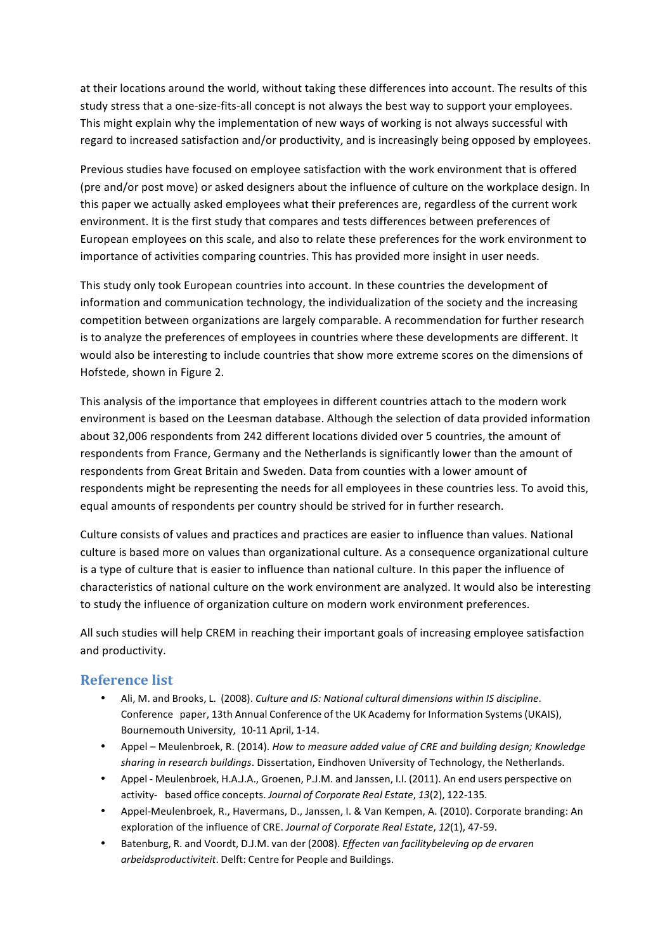at their locations around the world, without taking these differences into account. The results of this study stress that a one-size-fits-all concept is not always the best way to support your employees. This might explain why the implementation of new ways of working is not always successful with regard to increased satisfaction and/or productivity, and is increasingly being opposed by employees.

Previous studies have focused on employee satisfaction with the work environment that is offered (pre and/or post move) or asked designers about the influence of culture on the workplace design. In this paper we actually asked employees what their preferences are, regardless of the current work environment. It is the first study that compares and tests differences between preferences of European employees on this scale, and also to relate these preferences for the work environment to importance of activities comparing countries. This has provided more insight in user needs.

This study only took European countries into account. In these countries the development of information and communication technology, the individualization of the society and the increasing competition between organizations are largely comparable. A recommendation for further research is to analyze the preferences of employees in countries where these developments are different. It would also be interesting to include countries that show more extreme scores on the dimensions of Hofstede, shown in Figure 2.

This analysis of the importance that employees in different countries attach to the modern work environment is based on the Leesman database. Although the selection of data provided information about 32,006 respondents from 242 different locations divided over 5 countries, the amount of respondents from France, Germany and the Netherlands is significantly lower than the amount of respondents from Great Britain and Sweden. Data from counties with a lower amount of respondents might be representing the needs for all employees in these countries less. To avoid this, equal amounts of respondents per country should be strived for in further research.

Culture consists of values and practices and practices are easier to influence than values. National culture is based more on values than organizational culture. As a consequence organizational culture is a type of culture that is easier to influence than national culture. In this paper the influence of characteristics of national culture on the work environment are analyzed. It would also be interesting to study the influence of organization culture on modern work environment preferences.

All such studies will help CREM in reaching their important goals of increasing employee satisfaction and productivity.

## **Reference list**

- Ali, M. and Brooks, L. (2008). *Culture and IS: National cultural dimensions within IS discipline*. Conference paper, 13th Annual Conference of the UK Academy for Information Systems(UKAIS), Bournemouth University, 10-11 April, 1-14.
- Appel Meulenbroek, R. (2014). *How to measure added value of CRE and building design; Knowledge* sharing in research buildings. Dissertation, Eindhoven University of Technology, the Netherlands.
- Appel Meulenbroek, H.A.J.A., Groenen, P.J.M. and Janssen, I.I. (2011). An end users perspective on activity- based office concepts. *Journal of Corporate Real Estate*, *13*(2), 122-135.
- Appel-Meulenbroek, R., Havermans, D., Janssen, I. & Van Kempen, A. (2010). Corporate branding: An exploration of the influence of CRE. Journal of Corporate Real Estate, 12(1), 47-59.
- Batenburg, R. and Voordt, D.J.M. van der (2008). *Effecten van facilitybeleving op de ervaren arbeidsproductiviteit*. Delft: Centre for People and Buildings.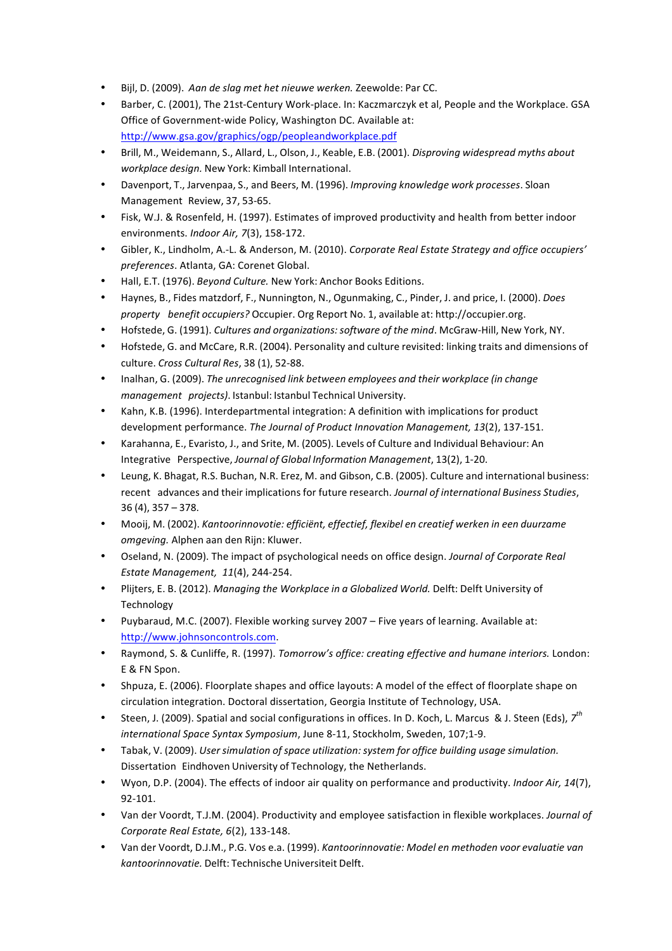- Bijl, D. (2009). *Aan de slag met het nieuwe werken.* Zeewolde: Par CC.
- Barber, C. (2001), The 21st-Century Work-place. In: Kaczmarczyk et al, People and the Workplace. GSA Office of Government-wide Policy, Washington DC. Available at: http://www.gsa.gov/graphics/ogp/peopleandworkplace.pdf
- Brill, M., Weidemann, S., Allard, L., Olson, J., Keable, E.B. (2001). *Disproving widespread myths about workplace design.* New York: Kimball International.
- Davenport, T., Jarvenpaa, S., and Beers, M. (1996). *Improving knowledge work processes*. Sloan Management Review, 37, 53-65.
- Fisk, W.J. & Rosenfeld, H. (1997). Estimates of improved productivity and health from better indoor environments. *Indoor Air, 7*(3), 158-172.
- Gibler, K., Lindholm, A.-L. & Anderson, M. (2010). *Corporate Real Estate Strategy and office occupiers' preferences*. Atlanta, GA: Corenet Global.
- Hall, E.T. (1976). *Beyond Culture.* New York: Anchor Books Editions.
- Haynes, B., Fides matzdorf, F., Nunnington, N., Ogunmaking, C., Pinder, J. and price, I. (2000). *Does property benefit occupiers?* Occupier. Org Report No. 1, available at: http://occupier.org.
- Hofstede, G. (1991). *Cultures and organizations:software of the mind*. McGraw-Hill, New York, NY.
- Hofstede, G. and McCare, R.R. (2004). Personality and culture revisited: linking traits and dimensions of culture. *Cross Cultural Res*, 38 (1), 52-88.
- Inalhan, G. (2009). *The unrecognised link between employees and their workplace (in change management projects)*. Istanbul: Istanbul Technical University.
- Kahn, K.B. (1996). Interdepartmental integration: A definition with implications for product development performance. The Journal of Product Innovation Management, 13(2), 137-151.
- Karahanna, E., Evaristo, J., and Srite, M. (2005). Levels of Culture and Individual Behaviour: An Integrative Perspective, *Journal of Global Information Management*, 13(2), 1-20.
- Leung, K. Bhagat, R.S. Buchan, N.R. Erez, M. and Gibson, C.B. (2005). Culture and international business: recent advances and their implications for future research. *Journal of international Business Studies*, 36 (4), 357 – 378.
- Mooij, M. (2002). *Kantoorinnovotie: efficiënt, effectief, flexibel en creatief werken in een duurzame omgeving.* Alphen aan den Rijn: Kluwer.
- Oseland, N. (2009). The impact of psychological needs on office design. *Journal of Corporate Real Estate Management, 11*(4), 244-254.
- Plijters, E. B. (2012). *Managing the Workplace in a Globalized World.* Delft: Delft University of Technology
- Puybaraud, M.C. (2007). Flexible working survey 2007 Five years of learning. Available at: http://www.johnsoncontrols.com.
- Raymond, S. & Cunliffe, R. (1997). *Tomorrow's office: creating effective and humane interiors.* London: E & FN Spon.
- Shpuza, E. (2006). Floorplate shapes and office layouts: A model of the effect of floorplate shape on circulation integration. Doctoral dissertation, Georgia Institute of Technology, USA.
- Steen, J. (2009). Spatial and social configurations in offices. In D. Koch, L. Marcus & J. Steen (Eds),  $\vec{Z}^{th}$ *international Space Syntax Symposium*, June 8-11, Stockholm, Sweden, 107;1-9.
- Tabak, V. (2009). *User simulation of space utilization: system for office building usage simulation.* Dissertation Eindhoven University of Technology, the Netherlands.
- Wyon, D.P. (2004). The effects of indoor air quality on performance and productivity. *Indoor Air, 14*(7), 92-101.
- Van der Voordt, T.J.M. (2004). Productivity and employee satisfaction in flexible workplaces. *Journal of Corporate Real Estate, 6*(2), 133-148.
- Van der Voordt, D.J.M., P.G. Vos e.a. (1999). *Kantoorinnovatie: Model en methoden voor evaluatie van kantoorinnovatie.* Delft: Technische Universiteit Delft.